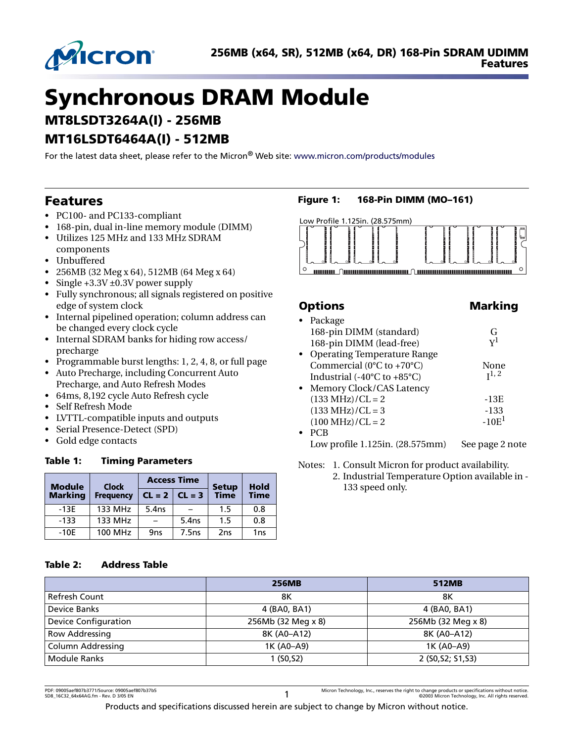

# **Synchronous DRAM Module**

**MT8LSDT3264A(I) - 256MB**

# **MT16LSDT6464A(I) - 512MB**

For the latest data sheet, please refer to the Micron® Web site: [www.micron.com/products/modules](http://www.micron.com/products/modules)

# **Features**

- PC100- and PC133-compliant
- 168-pin, dual in-line memory module (DIMM)
- Utilizes 125 MHz and 133 MHz SDRAM
- components
- Unbuffered
- 256MB (32 Meg x 64), 512MB (64 Meg x 64)
- Single +3.3V ±0.3V power supply
- Fully synchronous; all signals registered on positive edge of system clock
- Internal pipelined operation; column address can be changed every clock cycle
- Internal SDRAM banks for hiding row access/ precharge
- Programmable burst lengths: 1, 2, 4, 8, or full page
- Auto Precharge, including Concurrent Auto Precharge, and Auto Refresh Modes
- 64ms, 8,192 cycle Auto Refresh cycle
- Self Refresh Mode
- LVTTL-compatible inputs and outputs
- Serial Presence-Detect (SPD)
- Gold edge contacts

### **Table 1: Timing Parameters**

| <b>Module</b>  | <b>Clock</b>     |                 | <b>Access Time</b> | <b>Setup</b>    | <b>Hold</b>     |  |
|----------------|------------------|-----------------|--------------------|-----------------|-----------------|--|
| <b>Marking</b> | <b>Frequency</b> | $CL = 2$        | $CL = 3$           | <b>Time</b>     | <b>Time</b>     |  |
| $-13E$         | 133 MHz          | 5.4ns           |                    | 1.5             | 0.8             |  |
| $-133$         | 133 MHz          |                 | 5.4 <sub>ns</sub>  | 1.5             | 0.8             |  |
| $-10E$         | <b>100 MHz</b>   | 9 <sub>ns</sub> | 7.5ns              | 2 <sub>ns</sub> | 1 <sub>ns</sub> |  |

# **Figure 1: 168-Pin DIMM (MO–161)**



# **Options** Marking

|           | • Package                                       |                 |
|-----------|-------------------------------------------------|-----------------|
|           | 168-pin DIMM (standard)                         | G               |
|           | 168-pin DIMM (lead-free)                        | ${\rm v}^1$     |
| $\bullet$ | <b>Operating Temperature Range</b>              |                 |
|           | Commercial ( $0^{\circ}$ C to +70 $^{\circ}$ C) | None            |
|           | Industrial $(-40^{\circ}$ C to $+85^{\circ}$ C) | $I^{1,2}$       |
|           | • Memory Clock/CAS Latency                      |                 |
|           | $(133 MHz)/CL = 2$                              | -13E            |
|           | $(133 MHz)/CL = 3$                              | -133            |
|           | $(100 MHz)/CL = 2$                              | $-10E1$         |
| $\bullet$ | <b>PCB</b>                                      |                 |
|           | Low profile 1.125in. (28.575mm)                 | See page 2 note |

<span id="page-0-0"></span>Notes: 1. Consult Micron for product availability. 2. Industrial Temperature Option available in - 133 speed only.

### **Table 2: Address Table**

|                             | <b>256MB</b>       | 512MB              |
|-----------------------------|--------------------|--------------------|
| Refresh Count               | 8Κ                 | 8Κ                 |
| Device Banks                | 4 (BA0, BA1)       | 4 (BA0, BA1)       |
| <b>Device Configuration</b> | 256Mb (32 Meg x 8) | 256Mb (32 Meg x 8) |
| <b>Row Addressing</b>       | 8K (A0-A12)        | 8K (A0-A12)        |
| Column Addressing           | 1K (A0-A9)         | 1K (A0-A9)         |
| <b>Module Ranks</b>         | 1 (50, 52)         | 2 (S0, S2; S1, S3) |

Products and specifications discussed herein are subject to change by Micron without notice.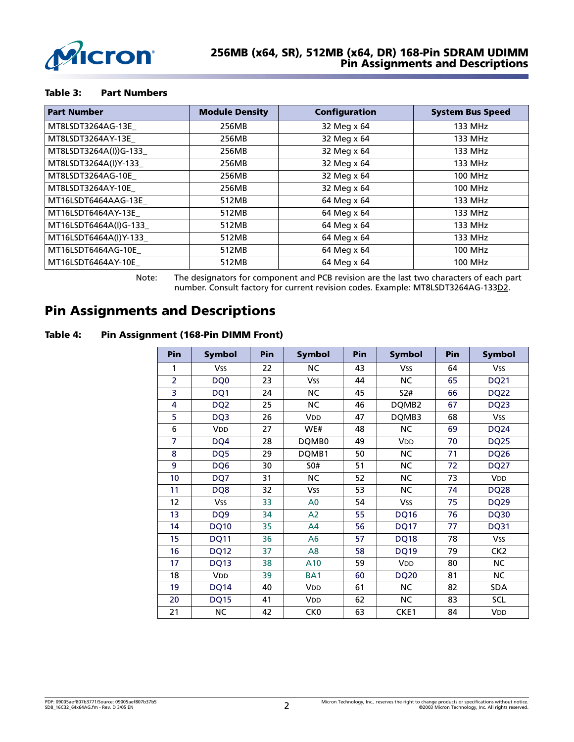

#### **Table 3: Part Numbers**

| <b>Part Number</b>     | <b>Module Density</b> | <b>Configuration</b> | <b>System Bus Speed</b> |
|------------------------|-----------------------|----------------------|-------------------------|
| MT8LSDT3264AG-13E_     | 256MB                 | 32 Meg x 64          | 133 MHz                 |
| MT8LSDT3264AY-13E      | 256MB                 | 32 Meg x 64          | 133 MHz                 |
| MT8LSDT3264A(I))G-133  | 256MB                 | 32 Meg x 64          | 133 MHz                 |
| MT8LSDT3264A(I)Y-133   | 256MB                 | 32 Meg x 64          | 133 MHz                 |
| MT8LSDT3264AG-10E      | 256MB                 | 32 Meg x 64          | <b>100 MHz</b>          |
| MT8LSDT3264AY-10E      | 256MB                 | 32 Meg x 64          | <b>100 MHz</b>          |
| MT16LSDT6464AAG-13E    | 512MB                 | 64 Meg x 64          | 133 MHz                 |
| MT16LSDT6464AY-13E     | 512MB                 | 64 Meg x 64          | 133 MHz                 |
| MT16LSDT6464A(I)G-133  | 512MB                 | 64 Meg x 64          | 133 MHz                 |
| MT16LSDT6464A(I)Y-133_ | 512MB                 | 64 Meg x 64          | 133 MHz                 |
| MT16LSDT6464AG-10E     | 512MB                 | 64 Meg x 64          | <b>100 MHz</b>          |
| MT16LSDT6464AY-10E     | 512MB                 | 64 Meg x 64          | <b>100 MHz</b>          |

Note: The designators for component and PCB revision are the last two characters of each part number. Consult factory for current revision codes. Example: MT8LSDT3264AG-133D2.

# <span id="page-1-0"></span>**Pin Assignments and Descriptions**

### <span id="page-1-1"></span>**Table 4: Pin Assignment (168-Pin DIMM Front)**

| Pin             | <b>Symbol</b>         | Pin | <b>Symbol</b>   | Pin | <b>Symbol</b> | Pin | <b>Symbol</b>         |
|-----------------|-----------------------|-----|-----------------|-----|---------------|-----|-----------------------|
| 1               | <b>Vss</b>            | 22  | <b>NC</b>       | 43  | <b>Vss</b>    | 64  | <b>Vss</b>            |
| $\overline{2}$  | DQ0                   | 23  | Vss             | 44  | NC            | 65  | <b>DQ21</b>           |
| 3               | DQ1                   | 24  | NС              | 45  | <b>S2#</b>    | 66  | <b>DQ22</b>           |
| 4               | DQ <sub>2</sub>       | 25  | <b>NC</b>       | 46  | DQMB2         | 67  | <b>DQ23</b>           |
| 5               | DQ3                   | 26  | VDD             | 47  | DQMB3         | 68  | <b>Vss</b>            |
| 6               | <b>V<sub>DD</sub></b> | 27  | WE#             | 48  | <b>NC</b>     | 69  | DQ <sub>24</sub>      |
| $\overline{7}$  | DQ4                   | 28  | DQMB0           | 49  | VDD           | 70  | <b>DQ25</b>           |
| 8               | DQ5                   | 29  | DQMB1           | 50  | NС            | 71  | <b>DQ26</b>           |
| 9               | DQ6                   | 30  | 50#             | 51  | NС            | 72  | <b>DQ27</b>           |
| 10 <sup>1</sup> | DQ7                   | 31  | <b>NC</b>       | 52  | NC.           | 73  | <b>V<sub>DD</sub></b> |
| 11              | DQ8                   | 32  | Vss             | 53  | NС            | 74  | DQ <sub>28</sub>      |
| 12              | <b>Vss</b>            | 33  | A <sub>0</sub>  | 54  | <b>Vss</b>    | 75  | <b>DQ29</b>           |
| 13              | DQ <sub>9</sub>       | 34  | A <sub>2</sub>  | 55  | <b>DQ16</b>   | 76  | <b>DQ30</b>           |
| 14              | <b>DQ10</b>           | 35  | A4              | 56  | <b>DQ17</b>   | 77  | <b>DQ31</b>           |
| 15              | <b>DQ11</b>           | 36  | A <sub>6</sub>  | 57  | <b>DQ18</b>   | 78  | <b>Vss</b>            |
| 16              | <b>DQ12</b>           | 37  | A8              | 58  | <b>DQ19</b>   | 79  | CK <sub>2</sub>       |
| 17              | <b>DQ13</b>           | 38  | A10             | 59  | VDD           | 80  | NС                    |
| 18              | <b>VDD</b>            | 39  | BA <sub>1</sub> | 60  | <b>DQ20</b>   | 81  | NС                    |
| 19              | <b>DQ14</b>           | 40  | <b>VDD</b>      | 61  | <b>NC</b>     | 82  | <b>SDA</b>            |
| 20              | <b>DQ15</b>           | 41  | <b>VDD</b>      | 62  | NС            | 83  | SCL                   |
| 21              | <b>NC</b>             | 42  | CK <sub>0</sub> | 63  | CKE1          | 84  | <b>VDD</b>            |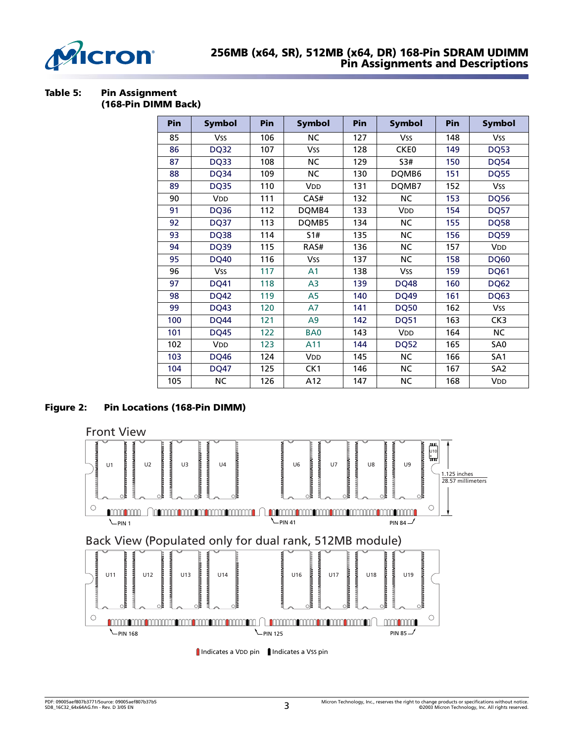

# **256MB (x64, SR), 512MB (x64, DR) 168-Pin SDRAM UDIMM Pin Assignments and Descriptions**

#### **Table 5: Pin Assignment (168-Pin DIMM Back)**

| <b>Pin</b> | <b>Symbol</b>         | Pin | <b>Symbol</b>         | Pin | <b>Symbol</b>         | <b>Pin</b> | <b>Symbol</b>   |
|------------|-----------------------|-----|-----------------------|-----|-----------------------|------------|-----------------|
| 85         | <b>Vss</b>            | 106 | <b>NC</b>             | 127 | <b>Vss</b>            | 148        | <b>Vss</b>      |
| 86         | <b>DQ32</b>           | 107 | <b>Vss</b>            | 128 | CKE0                  | 149        | <b>DQ53</b>     |
| 87         | DQ33                  | 108 | NC                    | 129 | S3#                   | 150        | DQ54            |
| 88         | <b>DQ34</b>           | 109 | <b>NC</b>             | 130 | DQMB6                 | 151        | <b>DQ55</b>     |
| 89         | <b>DQ35</b>           | 110 | <b>V<sub>DD</sub></b> | 131 | DQMB7                 | 152        | <b>Vss</b>      |
| 90         | <b>V<sub>DD</sub></b> | 111 | CAS#                  | 132 | NC                    | 153        | <b>DQ56</b>     |
| 91         | <b>DQ36</b>           | 112 | DQMB4                 | 133 | <b>V<sub>DD</sub></b> | 154        | <b>DQ57</b>     |
| 92         | <b>DQ37</b>           | 113 | DQMB5                 | 134 | <b>NC</b>             | 155        | <b>DQ58</b>     |
| 93         | DQ38                  | 114 | 51#                   | 135 | NС                    | 156        | <b>DQ59</b>     |
| 94         | <b>DQ39</b>           | 115 | RAS#                  | 136 | <b>NC</b>             | 157        | <b>VDD</b>      |
| 95         | <b>DQ40</b>           | 116 | <b>Vss</b>            | 137 | <b>NC</b>             | 158        | <b>DQ60</b>     |
| 96         | <b>Vss</b>            | 117 | A <sub>1</sub>        | 138 | Vss                   | 159        | <b>DQ61</b>     |
| 97         | <b>DQ41</b>           | 118 | A <sub>3</sub>        | 139 | <b>DQ48</b>           | 160        | <b>DQ62</b>     |
| 98         | <b>DQ42</b>           | 119 | A5                    | 140 | <b>DQ49</b>           | 161        | <b>DQ63</b>     |
| 99         | <b>DQ43</b>           | 120 | A7                    | 141 | <b>DQ50</b>           | 162        | <b>Vss</b>      |
| 100        | <b>DQ44</b>           | 121 | A <sub>9</sub>        | 142 | <b>DQ51</b>           | 163        | CK3             |
| 101        | <b>DQ45</b>           | 122 | BA <sub>0</sub>       | 143 | <b>VDD</b>            | 164        | <b>NC</b>       |
| 102        | VDD                   | 123 | A11                   | 144 | <b>DQ52</b>           | 165        | SA0             |
| 103        | <b>DQ46</b>           | 124 | <b>V<sub>DD</sub></b> | 145 | <b>NC</b>             | 166        | SA <sub>1</sub> |
| 104        | <b>DQ47</b>           | 125 | CK1                   | 146 | <b>NC</b>             | 167        | SA <sub>2</sub> |
| 105        | <b>NC</b>             | 126 | A12                   | 147 | <b>NC</b>             | 168        | VDD             |

# **Figure 2: Pin Locations (168-Pin DIMM)**



Indicates a VDD pin Indicates a VSS pin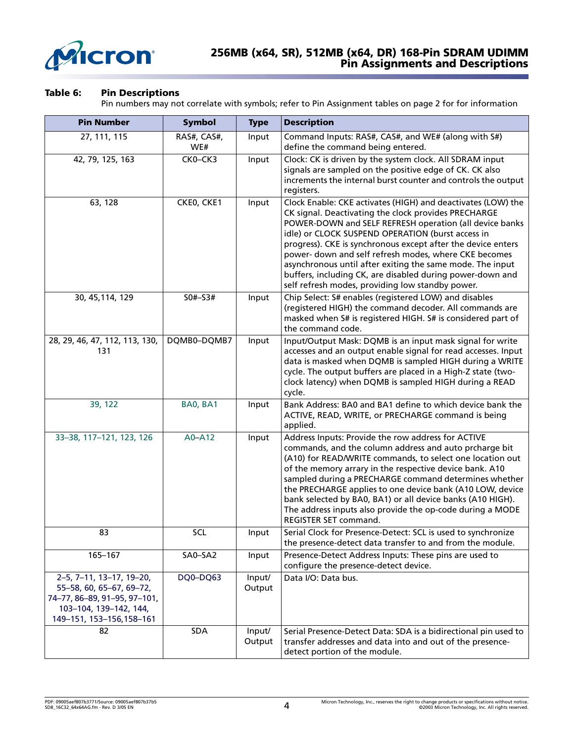

### **256MB (x64, SR), 512MB (x64, DR) 168-Pin SDRAM UDIMM Pin Assignments and Descriptions**

### **Table 6: Pin Descriptions**

Pin numbers may not correlate with symbols; refer to Pin Assignment tables on [page 2](#page-1-1) for for information

| <b>Pin Number</b>                                                                                                                           | <b>Symbol</b>      | <b>Type</b>      | <b>Description</b>                                                                                                                                                                                                                                                                                                                                                                                                                                                                                                                          |
|---------------------------------------------------------------------------------------------------------------------------------------------|--------------------|------------------|---------------------------------------------------------------------------------------------------------------------------------------------------------------------------------------------------------------------------------------------------------------------------------------------------------------------------------------------------------------------------------------------------------------------------------------------------------------------------------------------------------------------------------------------|
| 27, 111, 115                                                                                                                                | RAS#, CAS#,<br>WE# | Input            | Command Inputs: RAS#, CAS#, and WE# (along with S#)<br>define the command being entered.                                                                                                                                                                                                                                                                                                                                                                                                                                                    |
| 42, 79, 125, 163                                                                                                                            | CK0-CK3            | Input            | Clock: CK is driven by the system clock. All SDRAM input<br>signals are sampled on the positive edge of CK. CK also<br>increments the internal burst counter and controls the output<br>registers.                                                                                                                                                                                                                                                                                                                                          |
| 63, 128                                                                                                                                     | CKE0, CKE1         | Input            | Clock Enable: CKE activates (HIGH) and deactivates (LOW) the<br>CK signal. Deactivating the clock provides PRECHARGE<br>POWER-DOWN and SELF REFRESH operation (all device banks<br>idle) or CLOCK SUSPEND OPERATION (burst access in<br>progress). CKE is synchronous except after the device enters<br>power- down and self refresh modes, where CKE becomes<br>asynchronous until after exiting the same mode. The input<br>buffers, including CK, are disabled during power-down and<br>self refresh modes, providing low standby power. |
| 30, 45, 114, 129                                                                                                                            | $S0# - S3#$        | Input            | Chip Select: S# enables (registered LOW) and disables<br>(registered HIGH) the command decoder. All commands are<br>masked when S# is registered HIGH. S# is considered part of<br>the command code.                                                                                                                                                                                                                                                                                                                                        |
| 28, 29, 46, 47, 112, 113, 130,<br>131                                                                                                       | DQMB0-DQMB7        | Input            | Input/Output Mask: DQMB is an input mask signal for write<br>accesses and an output enable signal for read accesses. Input<br>data is masked when DQMB is sampled HIGH during a WRITE<br>cycle. The output buffers are placed in a High-Z state (two-<br>clock latency) when DQMB is sampled HIGH during a READ<br>cycle.                                                                                                                                                                                                                   |
| 39, 122                                                                                                                                     | BA0, BA1           | Input            | Bank Address: BA0 and BA1 define to which device bank the<br>ACTIVE, READ, WRITE, or PRECHARGE command is being<br>applied.                                                                                                                                                                                                                                                                                                                                                                                                                 |
| 33-38, 117-121, 123, 126                                                                                                                    | A0-A12             | Input            | Address Inputs: Provide the row address for ACTIVE<br>commands, and the column address and auto prcharge bit<br>(A10) for READ/WRITE commands, to select one location out<br>of the memory arrary in the respective device bank. A10<br>sampled during a PRECHARGE command determines whether<br>the PRECHARGE applies to one device bank (A10 LOW, device<br>bank selected by BA0, BA1) or all device banks (A10 HIGH).<br>The address inputs also provide the op-code during a MODE<br>REGISTER SET command.                              |
| 83                                                                                                                                          | SCL                | Input            | Serial Clock for Presence-Detect: SCL is used to synchronize<br>the presence-detect data transfer to and from the module.                                                                                                                                                                                                                                                                                                                                                                                                                   |
| 165-167                                                                                                                                     | SA0-SA2            | Input            | Presence-Detect Address Inputs: These pins are used to<br>configure the presence-detect device.                                                                                                                                                                                                                                                                                                                                                                                                                                             |
| 2-5, 7-11, 13-17, 19-20,<br>55-58, 60, 65-67, 69-72,<br>74-77, 86-89, 91-95, 97-101,<br>103-104, 139-142, 144,<br>149-151, 153-156, 158-161 | DQ0-DQ63           | Input/<br>Output | Data I/O: Data bus.                                                                                                                                                                                                                                                                                                                                                                                                                                                                                                                         |
| 82                                                                                                                                          | SDA                | Input/<br>Output | Serial Presence-Detect Data: SDA is a bidirectional pin used to<br>transfer addresses and data into and out of the presence-<br>detect portion of the module.                                                                                                                                                                                                                                                                                                                                                                               |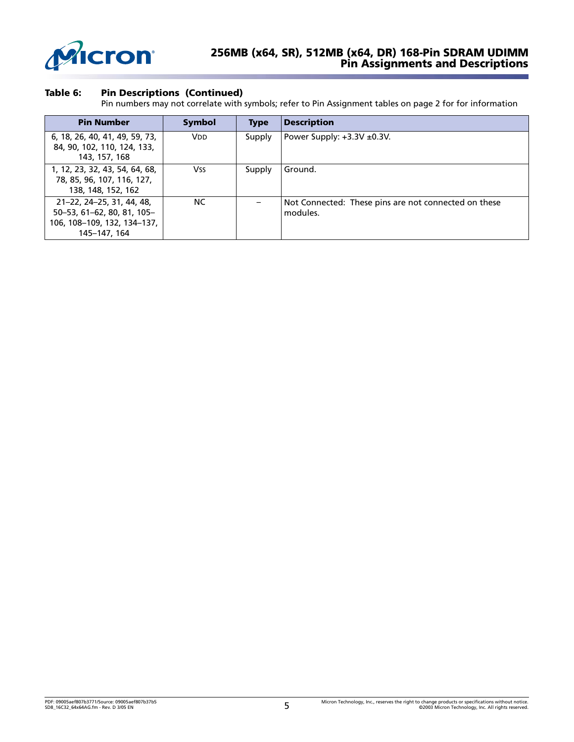

### **256MB (x64, SR), 512MB (x64, DR) 168-Pin SDRAM UDIMM Pin Assignments and Descriptions**

### **Table 6: Pin Descriptions (Continued)**

Pin numbers may not correlate with symbols; refer to Pin Assignment tables on page 2 for for information

| <b>Pin Number</b>                                                                                      | <b>Symbol</b>         | <b>Type</b> | <b>Description</b>                                               |
|--------------------------------------------------------------------------------------------------------|-----------------------|-------------|------------------------------------------------------------------|
| 6, 18, 26, 40, 41, 49, 59, 73,<br>84, 90, 102, 110, 124, 133,<br>143, 157, 168                         | <b>V<sub>DD</sub></b> | Supply      | Power Supply: $+3.3V \pm 0.3V$ .                                 |
| 1, 12, 23, 32, 43, 54, 64, 68,<br>78, 85, 96, 107, 116, 127,<br>138, 148, 152, 162                     | Vss                   | Supply      | Ground.                                                          |
| 21-22, 24-25, 31, 44, 48,<br>50-53, 61-62, 80, 81, 105-<br>106, 108-109, 132, 134-137,<br>145-147, 164 | <b>NC</b>             |             | Not Connected: These pins are not connected on these<br>modules. |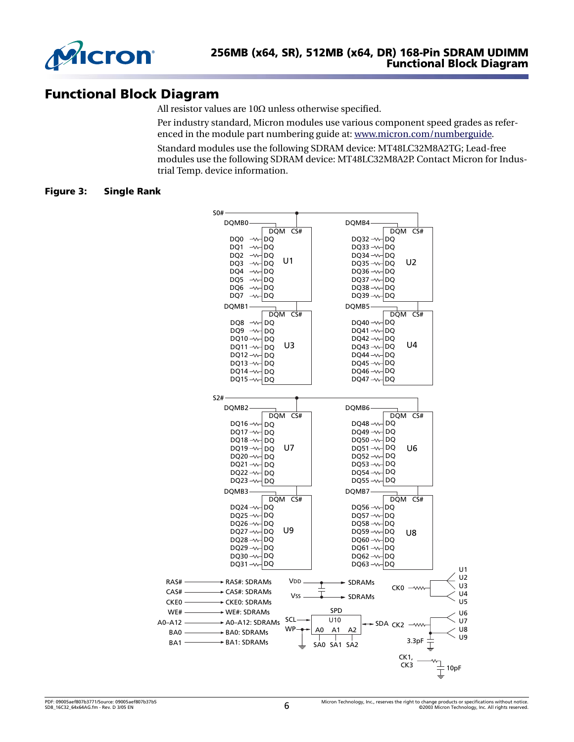

# **Functional Block Diagram**

All resistor values are 10Ω unless otherwise specified.

Per industry standard, Micron modules use various component speed grades as referenced in the module part numbering guide at: www.micron.com/numberguide.

Standard modules use the following SDRAM device: MT48LC32M8A2TG; Lead-free modules use the following SDRAM device: MT48LC32M8A2P. Contact Micron for Industrial Temp. device information.

### **Figure 3: Single Rank**

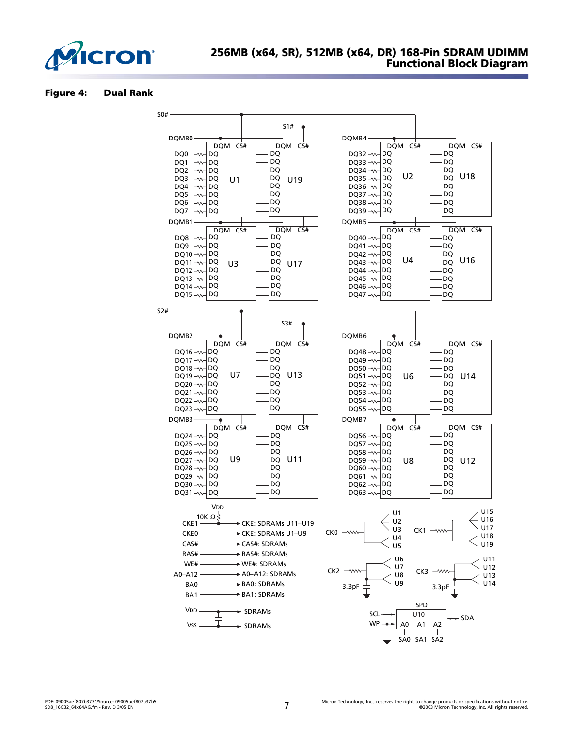

#### **Figure 4: Dual Rank**

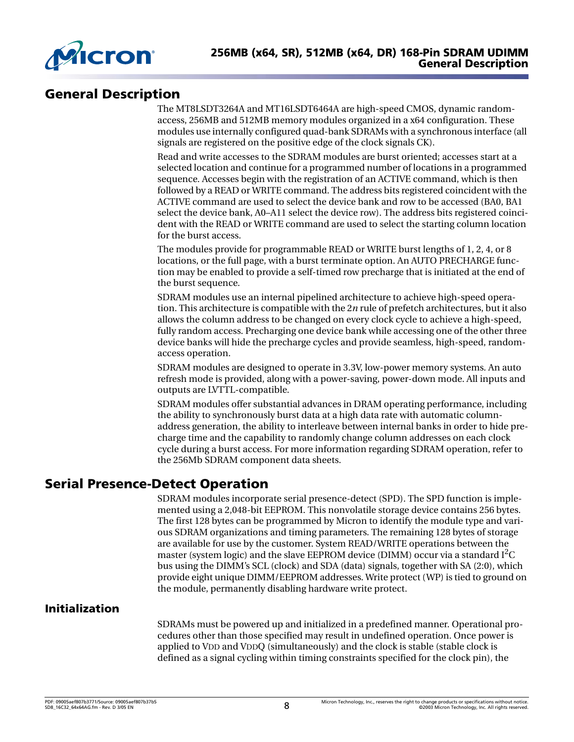

# **General Description**

The MT8LSDT3264A and MT16LSDT6464A are high-speed CMOS, dynamic randomaccess, 256MB and 512MB memory modules organized in a x64 configuration. These modules use internally configured quad-bank SDRAMs with a synchronous interface (all signals are registered on the positive edge of the clock signals CK).

Read and write accesses to the SDRAM modules are burst oriented; accesses start at a selected location and continue for a programmed number of locations in a programmed sequence. Accesses begin with the registration of an ACTIVE command, which is then followed by a READ or WRITE command. The address bits registered coincident with the ACTIVE command are used to select the device bank and row to be accessed (BA0, BA1 select the device bank, A0–A11 select the device row). The address bits registered coincident with the READ or WRITE command are used to select the starting column location for the burst access.

The modules provide for programmable READ or WRITE burst lengths of 1, 2, 4, or 8 locations, or the full page, with a burst terminate option. An AUTO PRECHARGE function may be enabled to provide a self-timed row precharge that is initiated at the end of the burst sequence.

SDRAM modules use an internal pipelined architecture to achieve high-speed operation. This architecture is compatible with the 2*n* rule of prefetch architectures, but it also allows the column address to be changed on every clock cycle to achieve a high-speed, fully random access. Precharging one device bank while accessing one of the other three device banks will hide the precharge cycles and provide seamless, high-speed, randomaccess operation.

SDRAM modules are designed to operate in 3.3V, low-power memory systems. An auto refresh mode is provided, along with a power-saving, power-down mode. All inputs and outputs are LVTTL-compatible.

SDRAM modules offer substantial advances in DRAM operating performance, including the ability to synchronously burst data at a high data rate with automatic columnaddress generation, the ability to interleave between internal banks in order to hide precharge time and the capability to randomly change column addresses on each clock cycle during a burst access. For more information regarding SDRAM operation, refer to the 256Mb SDRAM component data sheets.

# **Serial Presence-Detect Operation**

SDRAM modules incorporate serial presence-detect (SPD). The SPD function is implemented using a 2,048-bit EEPROM. This nonvolatile storage device contains 256 bytes. The first 128 bytes can be programmed by Micron to identify the module type and various SDRAM organizations and timing parameters. The remaining 128 bytes of storage are available for use by the customer. System READ/WRITE operations between the master (system logic) and the slave EEPROM device (DIMM) occur via a standard  $I<sup>2</sup>C$ bus using the DIMM's SCL (clock) and SDA (data) signals, together with SA (2:0), which provide eight unique DIMM/EEPROM addresses. Write protect (WP) is tied to ground on the module, permanently disabling hardware write protect.

# **Initialization**

SDRAMs must be powered up and initialized in a predefined manner. Operational procedures other than those specified may result in undefined operation. Once power is applied to VDD and VDDQ (simultaneously) and the clock is stable (stable clock is defined as a signal cycling within timing constraints specified for the clock pin), the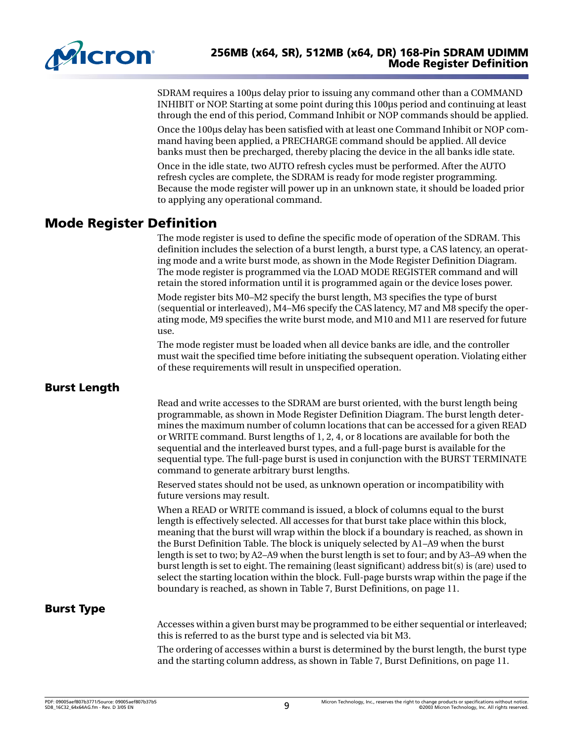

SDRAM requires a 100µs delay prior to issuing any command other than a COMMAND INHIBIT or NOP. Starting at some point during this 100µs period and continuing at least through the end of this period, Command Inhibit or NOP commands should be applied.

Once the 100µs delay has been satisfied with at least one Command Inhibit or NOP command having been applied, a PRECHARGE command should be applied. All device banks must then be precharged, thereby placing the device in the all banks idle state.

Once in the idle state, two AUTO refresh cycles must be performed. After the AUTO refresh cycles are complete, the SDRAM is ready for mode register programming. Because the mode register will power up in an unknown state, it should be loaded prior to applying any operational command.

# **Mode Register Definition**

The mode register is used to define the specific mode of operation of the SDRAM. This definition includes the selection of a burst length, a burst type, a CAS latency, an operating mode and a write burst mode, as shown in the Mode Register Definition Diagram. The mode register is programmed via the LOAD MODE REGISTER command and will retain the stored information until it is programmed again or the device loses power.

Mode register bits M0–M2 specify the burst length, M3 specifies the type of burst (sequential or interleaved), M4–M6 specify the CAS latency, M7 and M8 specify the operating mode, M9 specifies the write burst mode, and M10 and M11 are reserved for future use.

The mode register must be loaded when all device banks are idle, and the controller must wait the specified time before initiating the subsequent operation. Violating either of these requirements will result in unspecified operation.

# **Burst Length**

Read and write accesses to the SDRAM are burst oriented, with the burst length being programmable, as shown in Mode Register Definition Diagram. The burst length determines the maximum number of column locations that can be accessed for a given READ or WRITE command. Burst lengths of 1, 2, 4, or 8 locations are available for both the sequential and the interleaved burst types, and a full-page burst is available for the sequential type. The full-page burst is used in conjunction with the BURST TERMINATE command to generate arbitrary burst lengths.

Reserved states should not be used, as unknown operation or incompatibility with future versions may result.

When a READ or WRITE command is issued, a block of columns equal to the burst length is effectively selected. All accesses for that burst take place within this block, meaning that the burst will wrap within the block if a boundary is reached, as shown in the Burst Definition Table. The block is uniquely selected by A1–A9 when the burst length is set to two; by A2–A9 when the burst length is set to four; and by A3–A9 when the burst length is set to eight. The remaining (least significant) address bit(s) is (are) used to select the starting location within the block. Full-page bursts wrap within the page if the boundary is reached, as shown in [Table 7, Burst Definitions, on page 11.](#page-10-0)

# **Burst Type**

Accesses within a given burst may be programmed to be either sequential or interleaved; this is referred to as the burst type and is selected via bit M3.

The ordering of accesses within a burst is determined by the burst length, the burst type and the starting column address, as shown in [Table 7, Burst Definitions, on page 11.](#page-10-0)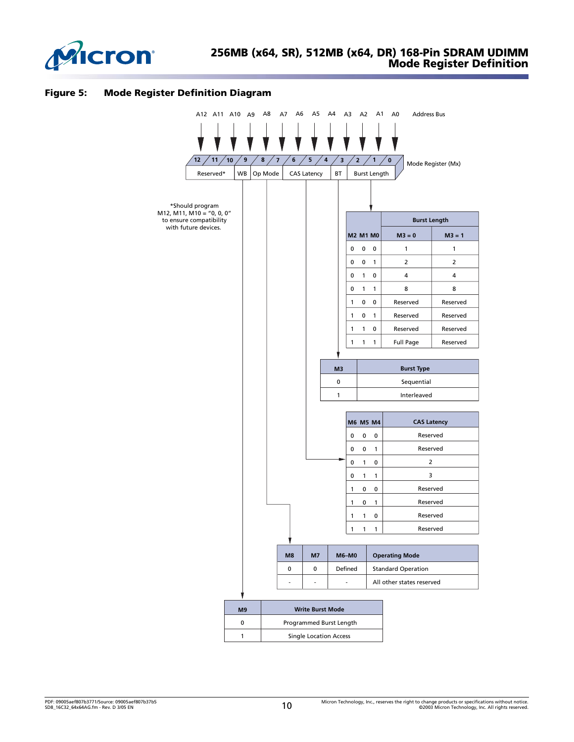

#### **Figure 5: Mode Register Definition Diagram**

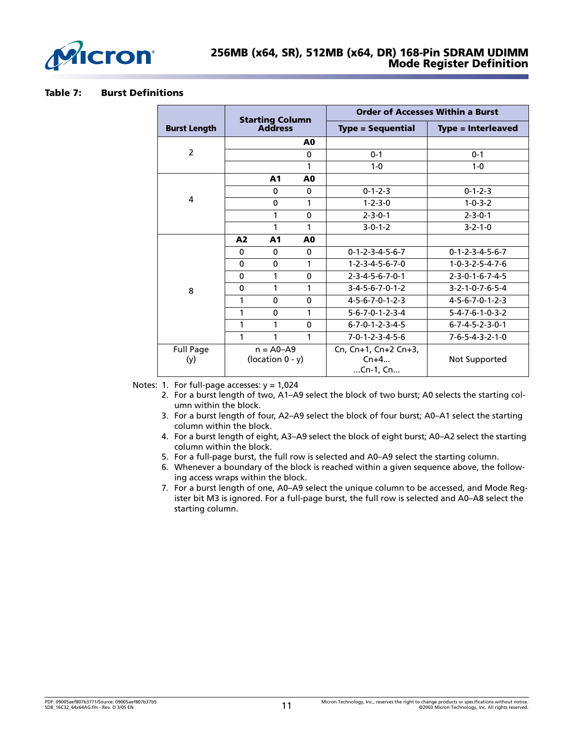

#### <span id="page-10-0"></span>**Table 7: Burst Definitions**

|                         |             | <b>Starting Column</b>               |                | <b>Order of Accesses Within a Burst</b>            |                                 |  |  |  |
|-------------------------|-------------|--------------------------------------|----------------|----------------------------------------------------|---------------------------------|--|--|--|
| <b>Burst Length</b>     |             | <b>Address</b>                       |                | <b>Type = Sequential</b>                           | <b>Type = Interleaved</b>       |  |  |  |
|                         |             |                                      | A <sub>0</sub> |                                                    |                                 |  |  |  |
| $\overline{2}$          |             |                                      | $\mathbf{0}$   | $0 - 1$                                            | $0 - 1$                         |  |  |  |
|                         |             |                                      | 1              | $1 - 0$                                            | $1 - 0$                         |  |  |  |
|                         |             | A1                                   | A <sub>0</sub> |                                                    |                                 |  |  |  |
|                         |             | $\mathbf 0$                          | $\mathbf{0}$   | $0 - 1 - 2 - 3$                                    | $0 - 1 - 2 - 3$                 |  |  |  |
| 4                       | 0<br>1      |                                      |                | $1 - 2 - 3 - 0$                                    | $1 - 0 - 3 - 2$                 |  |  |  |
|                         | 1           |                                      | $\mathbf 0$    | $2 - 3 - 0 - 1$                                    | $2 - 3 - 0 - 1$                 |  |  |  |
|                         |             | 1                                    | 1              | $3-0-1-2$                                          | $3 - 2 - 1 - 0$                 |  |  |  |
|                         | A2          | A1                                   | A <sub>0</sub> |                                                    |                                 |  |  |  |
|                         | 0           | $\mathbf{0}$                         | $\mathbf 0$    | $0 - 1 - 2 - 3 - 4 - 5 - 6 - 7$                    | $0 - 1 - 2 - 3 - 4 - 5 - 6 - 7$ |  |  |  |
|                         | 0           | $\mathbf{0}$                         | 1              | $1 - 2 - 3 - 4 - 5 - 6 - 7 - 0$                    | $1 - 0 - 3 - 2 - 5 - 4 - 7 - 6$ |  |  |  |
|                         | 0           | 1                                    | $\mathbf{0}$   | $2 - 3 - 4 - 5 - 6 - 7 - 0 - 1$                    | $2 - 3 - 0 - 1 - 6 - 7 - 4 - 5$ |  |  |  |
| 8                       | $\mathbf 0$ | 1                                    | 1              | $3-4-5-6-7-0-1-2$                                  | $3 - 2 - 1 - 0 - 7 - 6 - 5 - 4$ |  |  |  |
|                         | 1           | $\Omega$                             | $\Omega$       | $4 - 5 - 6 - 7 - 0 - 1 - 2 - 3$                    | $4 - 5 - 6 - 7 - 0 - 1 - 2 - 3$ |  |  |  |
|                         | 1           | 0                                    | 1              | $5 - 6 - 7 - 0 - 1 - 2 - 3 - 4$                    | $5 - 4 - 7 - 6 - 1 - 0 - 3 - 2$ |  |  |  |
|                         | 1           | 1                                    | $\mathbf 0$    | $6 - 7 - 0 - 1 - 2 - 3 - 4 - 5$                    | $6 - 7 - 4 - 5 - 2 - 3 - 0 - 1$ |  |  |  |
|                         | 1           | 1                                    | 1              | $7 - 0 - 1 - 2 - 3 - 4 - 5 - 6$                    | $7 - 6 - 5 - 4 - 3 - 2 - 1 - 0$ |  |  |  |
| <b>Full Page</b><br>(y) |             | $n = A0 - A9$<br>(location $0 - y$ ) |                | Cn, $Cn+1$ , $Cn+2$ $Cn+3$ ,<br>$Cn+4$<br>Cn-1, Cn | Not Supported                   |  |  |  |

Notes: 1. For full-page accesses:  $y = 1,024$ 

- 2. For a burst length of two, A1–A9 select the block of two burst; A0 selects the starting column within the block.
- 3. For a burst length of four, A2–A9 select the block of four burst; A0–A1 select the starting column within the block.
- 4. For a burst length of eight, A3–A9 select the block of eight burst; A0–A2 select the starting column within the block.
- 5. For a full-page burst, the full row is selected and A0–A9 select the starting column.
- 6. Whenever a boundary of the block is reached within a given sequence above, the following access wraps within the block.
- 7. For a burst length of one, A0–A9 select the unique column to be accessed, and Mode Register bit M3 is ignored. For a full-page burst, the full row is selected and A0–A8 select the starting column.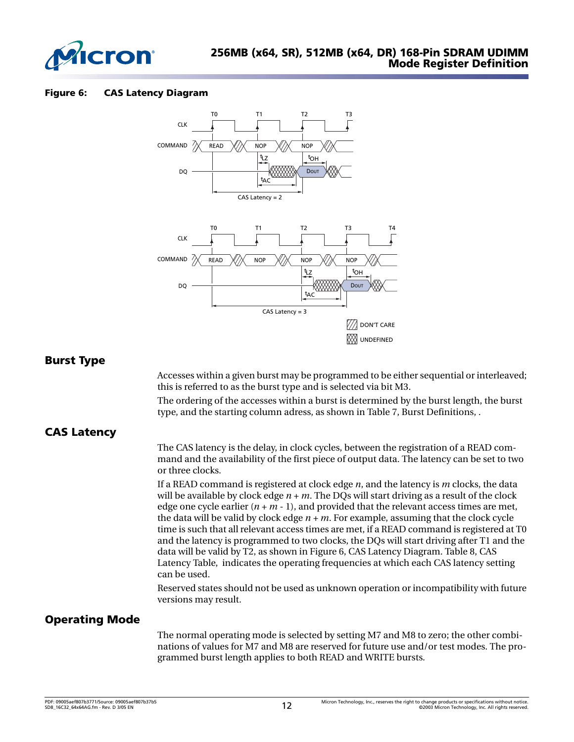

#### <span id="page-11-0"></span>**Figure 6: CAS Latency Diagram**



### **Burst Type**

Accesses within a given burst may be programmed to be either sequential or interleaved; this is referred to as the burst type and is selected via bit M3.

The ordering of the accesses within a burst is determined by the burst length, the burst type, and the starting column adress, as shown in [Table 7, Burst Definitions,](#page-10-0) .

# **CAS Latency**

The CAS latency is the delay, in clock cycles, between the registration of a READ command and the availability of the first piece of output data. The latency can be set to two or three clocks.

If a READ command is registered at clock edge *n*, and the latency is *m* clocks, the data will be available by clock edge  $n + m$ . The DQs will start driving as a result of the clock edge one cycle earlier  $(n + m - 1)$ , and provided that the relevant access times are met, the data will be valid by clock edge  $n + m$ . For example, assuming that the clock cycle time is such that all relevant access times are met, if a READ command is registered at T0 and the latency is programmed to two clocks, the DQs will start driving after T1 and the data will be valid by T2, as shown in [Figure 6, CAS Latency Diagram.](#page-11-0) [Table 8, CAS](#page-12-0)  [Latency Table,](#page-12-0) indicates the operating frequencies at which each CAS latency setting can be used.

Reserved states should not be used as unknown operation or incompatibility with future versions may result.

# **Operating Mode**

The normal operating mode is selected by setting M7 and M8 to zero; the other combinations of values for M7 and M8 are reserved for future use and/or test modes. The programmed burst length applies to both READ and WRITE bursts.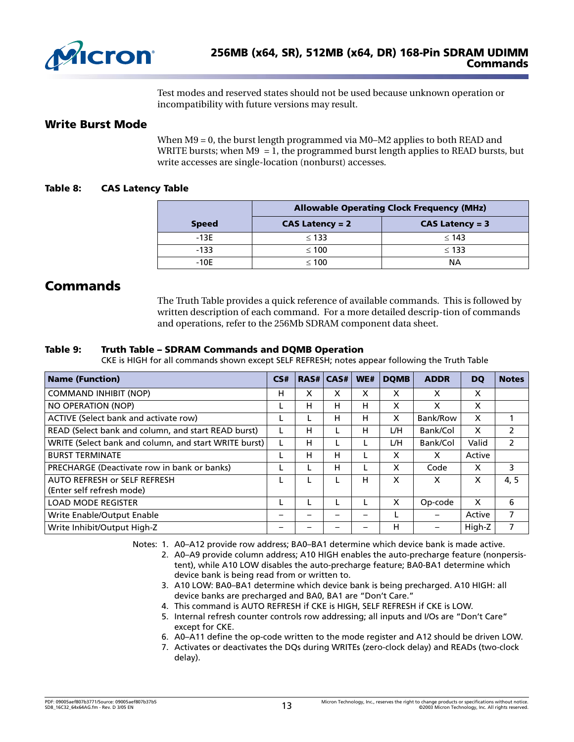

Test modes and reserved states should not be used because unknown operation or incompatibility with future versions may result.

### **Write Burst Mode**

When  $M9 = 0$ , the burst length programmed via M0–M2 applies to both READ and WRITE bursts; when  $M9 = 1$ , the programmed burst length applies to READ bursts, but write accesses are single-location (nonburst) accesses.

### <span id="page-12-0"></span>**Table 8: CAS Latency Table**

|              | <b>Allowable Operating Clock Frequency (MHz)</b> |                   |  |  |  |  |  |
|--------------|--------------------------------------------------|-------------------|--|--|--|--|--|
| <b>Speed</b> | $CAS$ Latency = 2                                | $CAS$ Latency = 3 |  |  |  |  |  |
| $-13E$       | $\leq$ 133                                       | $\leq 143$        |  |  |  |  |  |
| $-133$       | $\leq 100$                                       | $\leq$ 133        |  |  |  |  |  |
| $-10E$       | < 100                                            | NΑ                |  |  |  |  |  |

# **Commands**

The Truth Table provides a quick reference of available commands. This is followed by written description of each command. For a more detailed descrip-tion of commands and operations, refer to the 256Mb SDRAM component data sheet.

### **Table 9: Truth Table – SDRAM Commands and DQMB Operation**

CKE is HIGH for all commands shown except SELF REFRESH; notes appear following the Truth Table

| <b>Name (Function)</b>                                    | CS# |   | <b>RAS# CAS#</b> | WE# | <b>DOMB</b> | <b>ADDR</b> | DO     | <b>Notes</b>   |
|-----------------------------------------------------------|-----|---|------------------|-----|-------------|-------------|--------|----------------|
| <b>COMMAND INHIBIT (NOP)</b>                              | н   | x | x                | X   | x           | X           | X      |                |
| NO OPERATION (NOP)                                        | L   | н | н                | н   | X           | x           | X      |                |
| ACTIVE (Select bank and activate row)                     | L   |   | н                | н   | x           | Bank/Row    | X      |                |
| READ (Select bank and column, and start READ burst)       | L   | н |                  | н   | L/H         | Bank/Col    | X      | 2              |
| WRITE (Select bank and column, and start WRITE burst)     | L   | н |                  |     | L/H         | Bank/Col    | Valid  | $\overline{2}$ |
| <b>BURST TERMINATE</b>                                    |     | н | н                |     | X           | x           | Active |                |
| PRECHARGE (Deactivate row in bank or banks)               | L   |   | н                |     | X           | Code        | X      | 3              |
| AUTO REFRESH or SELF REFRESH<br>(Enter self refresh mode) | L   |   |                  | н   | X           | X           | X      | 4, 5           |
| <b>LOAD MODE REGISTER</b>                                 |     |   |                  |     | X           | Op-code     | X      | 6              |
| Write Enable/Output Enable                                |     |   |                  |     |             |             | Active | 7              |
| Write Inhibit/Output High-Z                               |     |   |                  |     | н           |             | High-Z |                |

Notes: 1. A0–A12 provide row address; BA0–BA1 determine which device bank is made active.

- 2. A0–A9 provide column address; A10 HIGH enables the auto-precharge feature (nonpersistent), while A10 LOW disables the auto-precharge feature; BA0-BA1 determine which device bank is being read from or written to.
- 3. A10 LOW: BA0–BA1 determine which device bank is being precharged. A10 HIGH: all device banks are precharged and BA0, BA1 are "Don't Care."
- 4. This command is AUTO REFRESH if CKE is HIGH, SELF REFRESH if CKE is LOW.
- 5. Internal refresh counter controls row addressing; all inputs and I/Os are "Don't Care" except for CKE.
- <span id="page-12-1"></span>6. A0–A11 define the op-code written to the mode register and A12 should be driven LOW.
- 7. Activates or deactivates the DQs during WRITEs (zero-clock delay) and READs (two-clock delay).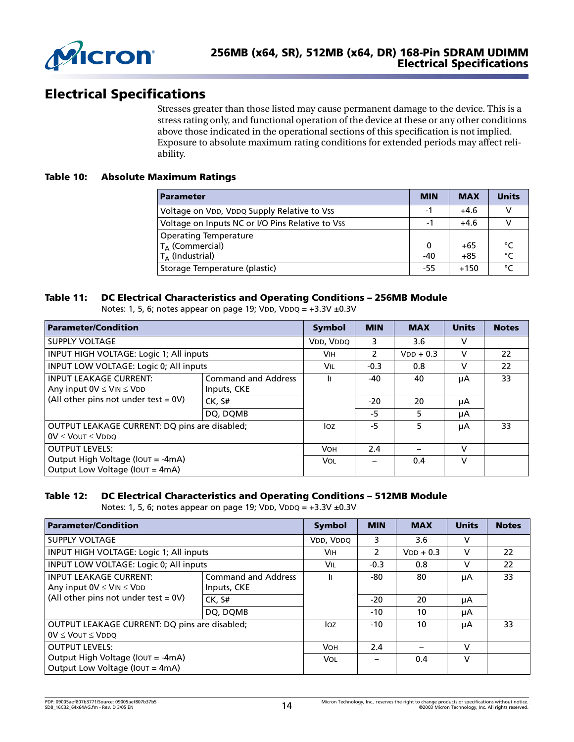

# **Electrical Specifications**

Stresses greater than those listed may cause permanent damage to the device. This is a stress rating only, and functional operation of the device at these or any other conditions above those indicated in the operational sections of this specification is not implied. Exposure to absolute maximum rating conditions for extended periods may affect reliability.

### **Table 10: Absolute Maximum Ratings**

| <b>Parameter</b>                                 | <b>MIN</b> | <b>MAX</b> | <b>Units</b> |
|--------------------------------------------------|------------|------------|--------------|
| Voltage on VDD, VDDQ Supply Relative to Vss      | -1         | $+4.6$     | v            |
| Voltage on Inputs NC or I/O Pins Relative to Vss | -1         | $+4.6$     |              |
| <b>Operating Temperature</b>                     |            |            |              |
| $T_A$ (Commercial)                               | 0          | $+65$      | °⊂           |
| $T_{\Delta}$ (Industrial)                        | $-40$      | $+85$      | °C           |
| Storage Temperature (plastic)                    | -55        | $+150$     | ۰            |

### **Table 11: DC Electrical Characteristics and Operating Conditions – 256MB Module**

Notes: 1, 5, 6; notes appear on page 19; VDD, VDDQ =  $+3.3V \pm 0.3V$ 

| <b>Parameter/Condition</b>                                                    |                                           | <b>Symbol</b> | <b>MIN</b>  | <b>MAX</b> | <b>Units</b> | <b>Notes</b> |
|-------------------------------------------------------------------------------|-------------------------------------------|---------------|-------------|------------|--------------|--------------|
| SUPPLY VOLTAGE                                                                | VDD, VDDQ                                 | 3             | 3.6         | v          |              |              |
| INPUT HIGH VOLTAGE: Logic 1; All inputs                                       | <b>VIH</b>                                | $\mathcal{P}$ | $VDD + 0.3$ | v          | 22           |              |
| INPUT LOW VOLTAGE: Logic 0; All inputs                                        | Vil                                       | $-0.3$        | 0.8         | v          | 22           |              |
| <b>INPUT LEAKAGE CURRENT:</b><br>Any input $0V \leq V$ IN $\leq V$ DD         | <b>Command and Address</b><br>Inputs, CKE | lı.           | -40         | 40         | μA           | 33           |
| (All other pins not under test = $0V$ )                                       | CK. S#                                    |               | $-20$       | 20         | μA           |              |
|                                                                               | DQ, DQMB                                  |               | -5          | 5          | μA           |              |
| OUTPUT LEAKAGE CURRENT: DQ pins are disabled;<br>$0V \leq V$ OUT $\leq V$ DDO |                                           | loz           | -5          | 5          | μA           | 33           |
| <b>OUTPUT LEVELS:</b>                                                         |                                           | <b>VOH</b>    | 2.4         |            | V            |              |
| Output High Voltage (IOUT = -4mA)<br>Output Low Voltage (IOUT = 4mA)          |                                           | Vol           |             | 0.4        | v            |              |

### **Table 12: DC Electrical Characteristics and Operating Conditions – 512MB Module**

Notes: 1, 5, 6; notes appear on page 19; VDD, VDDQ =  $+3.3V \pm 0.3V$ 

| <b>Parameter/Condition</b>                                                           |                                           |        |             | <b>MAX</b> | <b>Units</b> | <b>Notes</b> |
|--------------------------------------------------------------------------------------|-------------------------------------------|--------|-------------|------------|--------------|--------------|
| SUPPLY VOLTAGE                                                                       | VDD, VDDQ                                 | 3      | 3.6         | v          |              |              |
| INPUT HIGH VOLTAGE: Logic 1; All inputs                                              | <b>VIH</b>                                | 2      | $VDD + 0.3$ | v          | 22           |              |
| INPUT LOW VOLTAGE: Logic 0; All inputs                                               | Vil                                       | $-0.3$ | 0.8         | v          | 22           |              |
| <b>INPUT LEAKAGE CURRENT:</b><br>Any input $0V \leq V$ IN $\leq V$ DD                | <b>Command and Address</b><br>Inputs, CKE | Iı     | -80         | 80         | μA           | 33           |
| (All other pins not under test = $0V$ )<br>CK. S#                                    |                                           |        | $-20$       | 20         | μA           |              |
|                                                                                      | DQ, DQMB                                  |        | $-10$       | 10         | μA           |              |
| <b>OUTPUT LEAKAGE CURRENT: DO pins are disabled:</b><br>$0V \leq V$ OUT $\leq V$ DDO | loz                                       | $-10$  | 10          | μA         | 33           |              |
| <b>OUTPUT LEVELS:</b>                                                                | <b>VOH</b>                                | 2.4    |             | v          |              |              |
| Output High Voltage (IOUT = -4mA)<br>Output Low Voltage (IOUT = 4mA)                 |                                           | Vol    |             | 0.4        | $\mathsf{V}$ |              |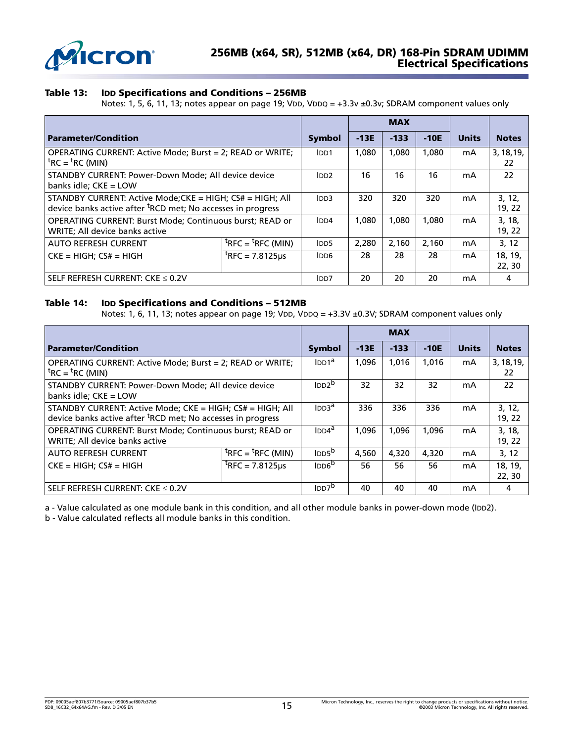

### **Table 13: IDD Specifications and Conditions – 256MB**

Notes: 1, 5, 6, 11, 13; notes appear on page 19; VDD, VDDQ = +3.3v ±0.3v; SDRAM component values only

|                                                                                                                                      |                                                           |                   | <b>MAX</b> |        |              |                  |                   |
|--------------------------------------------------------------------------------------------------------------------------------------|-----------------------------------------------------------|-------------------|------------|--------|--------------|------------------|-------------------|
| <b>Parameter/Condition</b>                                                                                                           | <b>Symbol</b>                                             | $-13E$            | $-133$     | $-10E$ | <b>Units</b> | <b>Notes</b>     |                   |
| OPERATING CURRENT: Active Mode; Burst = 2; READ or WRITE;<br>${}^{\text{t}}$ RC = ${}^{\text{t}}$ RC (MIN)                           | IDD1                                                      | 1.080             | 1,080      | 1,080  | mA           | 3, 18, 19,<br>22 |                   |
| STANDBY CURRENT: Power-Down Mode; All device device<br>banks idle: $CKE = LOW$                                                       | IDD2                                                      | 16                | 16         | 16     | mA           | 22               |                   |
| STANDBY CURRENT: Active Mode; CKE = HIGH; CS# = HIGH; All<br>device banks active after <sup>t</sup> RCD met; No accesses in progress | IDD3                                                      | 320               | 320        | 320    | mA           | 3, 12,<br>19, 22 |                   |
| OPERATING CURRENT: Burst Mode; Continuous burst; READ or<br>WRITE; All device banks active                                           |                                                           | IDD4              | 1.080      | 1.080  | 1,080        | mA               | 3, 18,<br>19, 22  |
| <b>AUTO REFRESH CURRENT</b>                                                                                                          | $\overline{{}^{\text{t}}$ RFC = ${}^{\text{t}}$ RFC (MIN) | IDD5              | 2,280      | 2,160  | 2,160        | mA               | 3, 12             |
| $CKE = HIGH$ : $CS# = HIGH$                                                                                                          | $^{\text{t}}$ RFC = 7.8125us                              | IDD6              | 28         | 28     | 28           | mA               | 18, 19,<br>22, 30 |
| SELF REFRESH CURRENT: $CKE \leq 0.2V$                                                                                                |                                                           | I <sub>DD</sub> 7 | 20         | 20     | 20           | mA               | 4                 |

#### **Table 14: IDD Specifications and Conditions – 512MB**

Notes: 1, 6, 11, 13; notes appear on page 19; VDD, VDDQ = +3.3V ±0.3V; SDRAM component values only

|                                                                                                                                      |                                                 |                          | <b>MAX</b> |        |              |                  |                   |
|--------------------------------------------------------------------------------------------------------------------------------------|-------------------------------------------------|--------------------------|------------|--------|--------------|------------------|-------------------|
| <b>Parameter/Condition</b>                                                                                                           | <b>Symbol</b>                                   | $-13E$                   | $-133$     | $-10E$ | <b>Units</b> | <b>Notes</b>     |                   |
| OPERATING CURRENT: Active Mode; Burst = 2; READ or WRITE;<br>${}^{\text{t}}$ RC = ${}^{\text{t}}$ RC (MIN)                           | IDD1 <sup>a</sup>                               | 1,096                    | 1,016      | 1,016  | mA           | 3, 18, 19,<br>22 |                   |
| STANDBY CURRENT: Power-Down Mode; All device device<br>banks idle; $CKE = LOW$                                                       | $\text{IDD2}^{\text{b}}$                        | 32                       | 32         | 32     | mA           | 22               |                   |
| STANDBY CURRENT: Active Mode; CKE = HIGH; CS# = HIGH; All<br>device banks active after <sup>t</sup> RCD met; No accesses in progress |                                                 | InB <sup>a</sup>         | 336        | 336    | 336          | mA               | 3, 12,<br>19, 22  |
| OPERATING CURRENT: Burst Mode; Continuous burst; READ or<br>WRITE; All device banks active                                           |                                                 | IDD4 <sup>a</sup>        | 1.096      | 1,096  | 1.096        | mA               | 3, 18,<br>19, 22  |
| <b>AUTO REFRESH CURRENT</b>                                                                                                          | ${}^{\text{t}}$ RFC = ${}^{\text{t}}$ RFC (MIN) | IDD5 <sup>b</sup>        | 4.560      | 4,320  | 4,320        | mA               | 3, 12             |
| $CKE = HIGH$ : $CS# = HIGH$                                                                                                          | $^{\text{t}}$ RFC = 7.8125us                    | IDD6 <sup>b</sup>        | 56         | 56     | 56           | mA               | 18, 19,<br>22, 30 |
| SELF REFRESH CURRENT: $CKE \leq 0.2V$                                                                                                |                                                 | $\text{IDD7}^{\text{D}}$ | 40         | 40     | 40           | mA               | 4                 |

a - Value calculated as one module bank in this condition, and all other module banks in power-down mode (IDD2).

b - Value calculated reflects all module banks in this condition.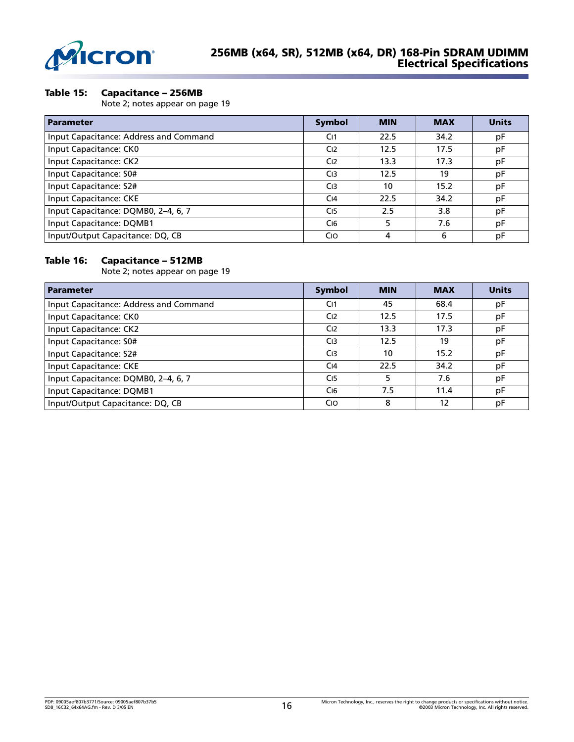

### **Table 15: Capacitance – 256MB** .

Note 2; notes appear on page 19

| <b>Parameter</b>                       | <b>Symbol</b>   | <b>MIN</b> | <b>MAX</b> | <b>Units</b> |
|----------------------------------------|-----------------|------------|------------|--------------|
| Input Capacitance: Address and Command | C <sub>11</sub> | 22.5       | 34.2       | pF           |
| Input Capacitance: CK0                 | C <sub>12</sub> | 12.5       | 17.5       | pF           |
| Input Capacitance: CK2                 | C <sub>12</sub> | 13.3       | 17.3       | pF           |
| Input Capacitance: S0#                 | C <sub>13</sub> | 12.5       | 19         | pF           |
| Input Capacitance: S2#                 | C <sub>13</sub> | 10         | 15.2       | рF           |
| Input Capacitance: CKE                 | C <sub>14</sub> | 22.5       | 34.2       | рF           |
| Input Capacitance: DQMB0, 2-4, 6, 7    | C <sub>15</sub> | 2.5        | 3.8        | pF           |
| Input Capacitance: DQMB1               | C <sub>16</sub> | 5          | 7.6        | pF           |
| Input/Output Capacitance: DQ, CB       | Cio             | 4          | 6          | pF           |

### **Table 16: Capacitance – 512MB**

Note 2; notes appear on page 19

| <b>Parameter</b>                       | <b>Symbol</b>         | <b>MIN</b> | <b>MAX</b> | <b>Units</b> |
|----------------------------------------|-----------------------|------------|------------|--------------|
| Input Capacitance: Address and Command | C <sub>11</sub>       | 45         | 68.4       | pF           |
| Input Capacitance: CK0                 | C <sub>12</sub>       | 12.5       | 17.5       | pF           |
| Input Capacitance: CK2                 | C <sub>12</sub>       | 13.3       | 17.3       | pF           |
| Input Capacitance: S0#                 | C <sub>13</sub>       | 12.5       | 19         | pF           |
| Input Capacitance: S2#                 | C <sub>13</sub>       | 10         | 15.2       | pF           |
| Input Capacitance: CKE                 | C <sub>14</sub>       | 22.5       | 34.2       | pF           |
| Input Capacitance: DQMB0, 2-4, 6, 7    | C <sub>15</sub>       |            | 7.6        | pF           |
| Input Capacitance: DQMB1               | C <sub>16</sub>       | 7.5        | 11.4       | рF           |
| Input/Output Capacitance: DQ, CB       | <b>C<sub>IO</sub></b> | 8          | 12         | pF           |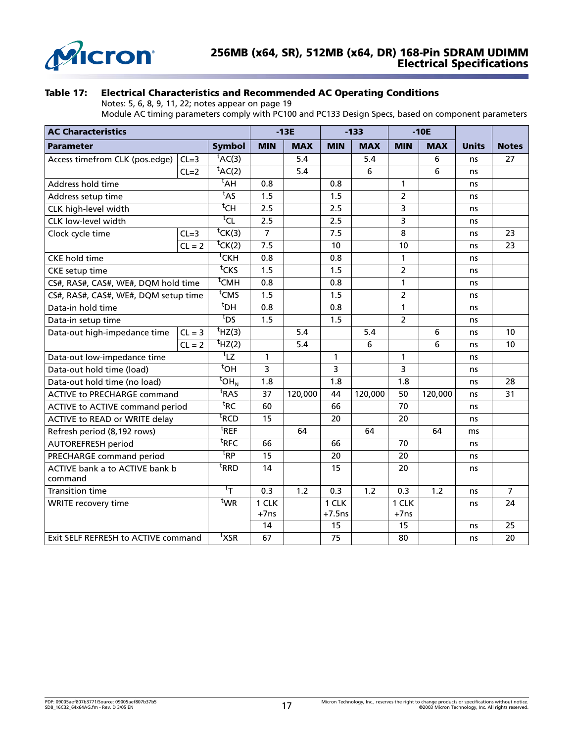

### **Table 17: Electrical Characteristics and Recommended AC Operating Conditions**

Notes: 5, 6, 8, 9, 11, 22; notes appear on page 19

Module AC timing parameters comply with PC100 and PC133 Design Specs, based on component parameters

| <b>AC Characteristics</b>                 |          |                                 | $-13E$         |            |                       | $-133$           |                | $-10E$     |              |                |
|-------------------------------------------|----------|---------------------------------|----------------|------------|-----------------------|------------------|----------------|------------|--------------|----------------|
| Parameter                                 |          | <b>Symbol</b>                   | <b>MIN</b>     | <b>MAX</b> | <b>MIN</b>            | <b>MAX</b>       | <b>MIN</b>     | <b>MAX</b> | <b>Units</b> | <b>Notes</b>   |
| Access timefrom CLK (pos.edge)            | $CL=3$   | $t$ AC(3)                       |                | 5.4        |                       | 5.4              |                | 6          | ns           | 27             |
|                                           | $CL=2$   | $\overline{t_{AC(2)}}$          |                | 5.4        |                       | 6                |                | 6          | ns           |                |
| Address hold time                         |          | $t$ AH                          | 0.8            |            | 0.8                   |                  | 1              |            | ns           |                |
| Address setup time                        |          | $t_{AS}$                        | 1.5            |            | 1.5                   |                  | $\overline{2}$ |            | ns           |                |
| CLK high-level width                      |          | $^{\rm t}$ CH                   | 2.5            |            | 2.5                   |                  | 3              |            | ns           |                |
| CLK low-level width                       |          | tCL                             | 2.5            |            | 2.5                   |                  | 3              |            | ns           |                |
| Clock cycle time                          | $CL=3$   | ${}^t$ CK(3)                    | $\overline{7}$ |            | 7.5                   |                  | 8              |            | ns           | 23             |
|                                           | $CL = 2$ | $\overline{{}^{\sf t}}$ CK(2)   | 7.5            |            | 10                    |                  | 10             |            | ns           | 23             |
| <b>CKE</b> hold time                      |          | $t$ CKH                         | 0.8            |            | 0.8                   |                  | $\mathbf{1}$   |            | ns           |                |
| <b>CKE</b> setup time                     |          | $t$ CKS                         | 1.5            |            | 1.5                   |                  | $\overline{2}$ |            | ns           |                |
| CS#, RAS#, CAS#, WE#, DQM hold time       |          | $t$ CMH                         | 0.8            |            | 0.8                   |                  | 1              |            | ns           |                |
| CS#, RAS#, CAS#, WE#, DQM setup time      |          | <sup>t</sup> CMS                | 1.5            |            | 1.5                   |                  | $\overline{2}$ |            | ns           |                |
| Data-in hold time                         |          | $t_{\text{DH}}$                 | 0.8            |            | 0.8                   |                  | 1              |            | ns           |                |
| Data-in setup time                        |          | $t_{DS}$                        | 1.5            |            | 1.5                   |                  | $\overline{2}$ |            | ns           |                |
| Data-out high-impedance time              | $CL = 3$ | $t$ HZ(3)                       |                | 5.4        |                       | 5.4              |                | 6          | ns           | 10             |
|                                           | $CL = 2$ | $\overline{t}$ HZ(2)            |                | 5.4        |                       | 6                |                | 6          | ns           | 10             |
| Data-out low-impedance time               |          | $t_{LZ}$                        | 1              |            | 1                     |                  | 1              |            | ns           |                |
| Data-out hold time (load)                 |          | $^{\rm t}$ OH                   | 3              |            | $\overline{3}$        |                  | 3              |            | ns           |                |
| Data-out hold time (no load)              |          | $\overline{^t}$ OH <sub>N</sub> | 1.8            |            | 1.8                   |                  | 1.8            |            | ns           | 28             |
| <b>ACTIVE to PRECHARGE command</b>        |          | <sup>t</sup> RAS                | 37             | 120,000    | 44                    | 120,000          | 50             | 120,000    | ns           | 31             |
| ACTIVE to ACTIVE command period           |          | ${}^{\text{t}}$ RC              | 60             |            | 66                    |                  | 70             |            | ns           |                |
| ACTIVE to READ or WRITE delay             |          | <sup>t</sup> RCD                | 15             |            | 20                    |                  | 20             |            | ns           |                |
| Refresh period (8,192 rows)               |          | ${}^{\text{t}}$ REF             |                | 64         |                       | 64               |                | 64         | ms           |                |
| <b>AUTOREFRESH period</b>                 |          | $^{\sf t}$ RFC                  | 66             |            | 66                    |                  | 70             |            | ns           |                |
| PRECHARGE command period                  |          | ${}^{\text{t}}$ RP              | 15             |            | 20                    |                  | 20             |            | ns           |                |
| ACTIVE bank a to ACTIVE bank b<br>command |          | <sup>t</sup> RRD                | 14             |            | 15                    |                  | 20             |            | ns           |                |
| <b>Transition time</b>                    |          | $^{\rm t}$ T                    | 0.3            | 1.2        | 0.3                   | $\overline{1.2}$ | 0.3            | 1.2        | ns           | $\overline{7}$ |
| <b>WRITE recovery time</b>                |          | twr                             | 1 CLK          |            | 1 CLK                 |                  | 1 CLK          |            | ns           | 24             |
|                                           |          |                                 | $+7ns$         |            | $+7.5$ ns             |                  | $+7ns$         |            |              |                |
| Exit SELF REFRESH to ACTIVE command       |          | $t_{\mathsf{XSR}}$              | 14<br>67       |            | 15<br>$\overline{75}$ |                  | 15<br>80       |            | ns<br>ns     | 25<br>20       |
|                                           |          |                                 |                |            |                       |                  |                |            |              |                |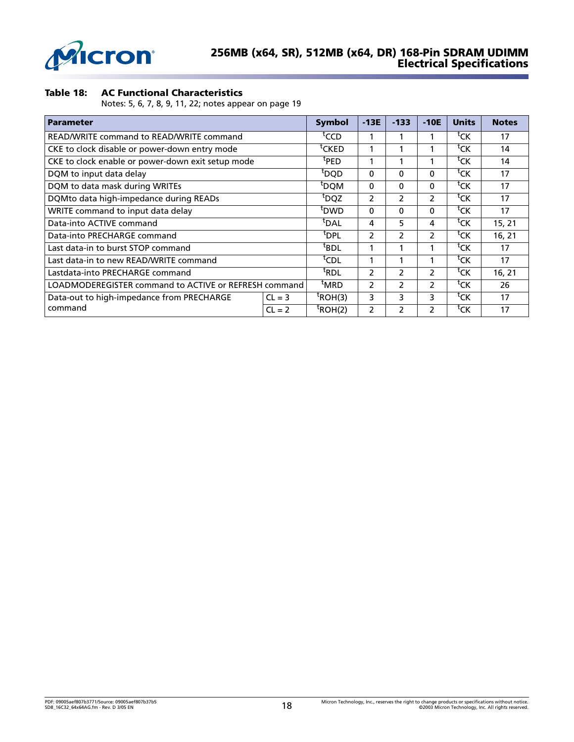

# **Table 18: AC Functional Characteristics** .

Notes: 5, 6, 7, 8, 9, 11, 22; notes appear on page 19

| <b>Parameter</b>                                      | <b>Symbol</b>    | $-13E$              | $-133$         | $-10E$         | <b>Units</b>       | <b>Notes</b>       |        |
|-------------------------------------------------------|------------------|---------------------|----------------|----------------|--------------------|--------------------|--------|
| READ/WRITE command to READ/WRITE command              |                  | tCCD                |                |                |                    | ${}^{\text{t}}$ CK | 17     |
| CKE to clock disable or power-down entry mode         |                  | tcked               |                |                |                    | tck                | 14     |
| CKE to clock enable or power-down exit setup mode     |                  | <sup>t</sup> PED    |                |                |                    | <sup>t</sup> CK    | 14     |
| DQM to input data delay                               |                  | <sup>t</sup> DQD    | 0              | 0              | 0                  | tck                | 17     |
| DQM to data mask during WRITEs                        |                  | <sup>t</sup> DQM    | 0              | $\Omega$       | $\Omega$           | <sup>t</sup> CK    | 17     |
| DQMto data high-impedance during READs                | <sup>t</sup> DQZ | 2                   | $\mathcal{P}$  | 2              | <sup>t</sup> CK    | 17                 |        |
| WRITE command to input data delay                     | <sup>t</sup> DWD | 0                   | 0              | $\Omega$       | ${}^{\text{t}}$ CK | 17                 |        |
| Data-into ACTIVE command                              | <sup>t</sup> DAL | 4                   | 5.             | 4              | <sup>t</sup> CK    | 15, 21             |        |
| Data-into PRECHARGE command                           |                  | <sup>t</sup> DPL    | $\mathcal{P}$  | $\mathcal{P}$  | $\mathcal{P}$      | <sup>t</sup> CK    | 16, 21 |
| Last data-in to burst STOP command                    |                  | $t$ BDL             |                |                |                    | ${}^{\text{t}}$ CK | 17     |
| Last data-in to new READ/WRITE command                |                  | <sup>t</sup> CDL    |                |                |                    | ${}^{\text{t}}$ CK | 17     |
| Lastdata-into PRECHARGE command                       |                  | <sup>t</sup> RDL    | 2              | 2              | 2                  | tck                | 16, 21 |
| LOADMODEREGISTER command to ACTIVE or REFRESH command | <sup>t</sup> MRD | 2                   | $\mathcal{P}$  | $\overline{2}$ | <sup>t</sup> CK    | 26                 |        |
| Data-out to high-impedance from PRECHARGE<br>$CL = 3$ |                  | $t_{\text{ROH(3)}}$ | 3              | 3              | 3                  | <sup>t</sup> CK    | 17     |
| command                                               | $CL = 2$         | $^t$ ROH(2)         | $\overline{2}$ | 2              | 2                  | tck                | 17     |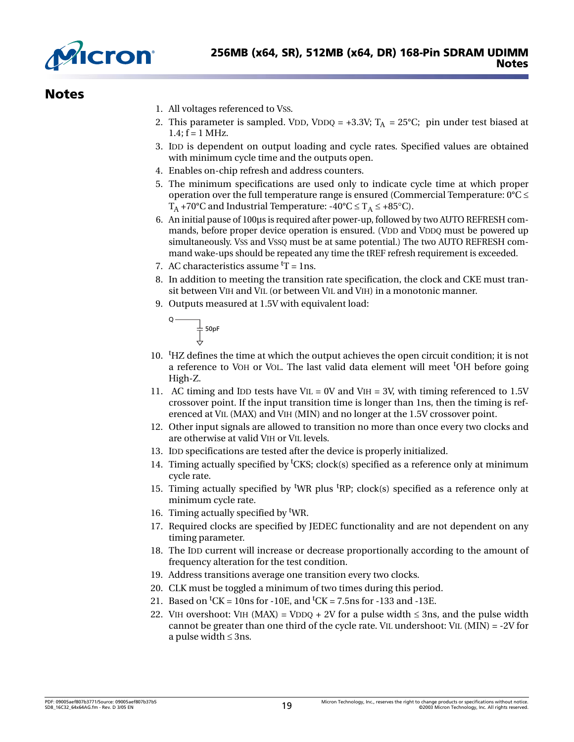

# **Notes**

- 1. All voltages referenced to VSS.
- 2. This parameter is sampled. VDD, VDDQ = +3.3V;  $T_A$  = 25°C; pin under test biased at  $1.4; f = 1$  MHz.
- 3. IDD is dependent on output loading and cycle rates. Specified values are obtained with minimum cycle time and the outputs open.
- 4. Enables on-chip refresh and address counters.
- 5. The minimum specifications are used only to indicate cycle time at which proper operation over the full temperature range is ensured (Commercial Temperature:  $0^{\circ}C \leq$ T<sub>A</sub> +70°C and Industrial Temperature:  $-40^{\circ}C \le T_A \le +85^{\circ}C$ .
- 6. An initial pause of 100µs is required after power-up, followed by two AUTO REFRESH commands, before proper device operation is ensured. (VDD and VDDQ must be powered up simultaneously. VSS and VSSQ must be at same potential.) The two AUTO REFRESH command wake-ups should be repeated any time the tREF refresh requirement is exceeded.
- 7. AC characteristics assume  ${}^tT = 1$ ns.
- 8. In addition to meeting the transition rate specification, the clock and CKE must transit between VIH and VIL (or between VIL and VIH) in a monotonic manner.
- 9. Outputs measured at 1.5V with equivalent load:

 $\overline{\downarrow}$  50pF<br> $\overline{\downarrow}$ 

Q

- 10. <sup>t</sup>HZ defines the time at which the output achieves the open circuit condition; it is not a reference to VOH or VOL. The last valid data element will meet <sup>t</sup>OH before going High-Z.
- 11. AC timing and IDD tests have VIL = 0V and VIH = 3V, with timing referenced to 1.5V crossover point. If the input transition time is longer than 1ns, then the timing is referenced at VIL (MAX) and VIH (MIN) and no longer at the 1.5V crossover point.
- 12. Other input signals are allowed to transition no more than once every two clocks and are otherwise at valid VIH or VIL levels.
- 13. IDD specifications are tested after the device is properly initialized.
- 14. Timing actually specified by <sup>t</sup>CKS; clock(s) specified as a reference only at minimum cycle rate.
- 15. Timing actually specified by <sup>t</sup>WR plus <sup>t</sup>RP; clock(s) specified as a reference only at minimum cycle rate.
- 16. Timing actually specified by <sup>t</sup>WR.
- 17. Required clocks are specified by JEDEC functionality and are not dependent on any timing parameter.
- 18. The IDD current will increase or decrease proportionally according to the amount of frequency alteration for the test condition.
- 19. Address transitions average one transition every two clocks.
- 20. CLK must be toggled a minimum of two times during this period.
- 21. Based on <sup>t</sup>CK = 10ns for -10E, and <sup>t</sup>CK = 7.5ns for -133 and -13E.
- 22. VIH overshoot: VIH (MAX) = VDDQ + 2V for a pulse width  $\leq$  3ns, and the pulse width cannot be greater than one third of the cycle rate. VIL undershoot: VIL (MIN) = -2V for a pulse width  $\leq$  3ns.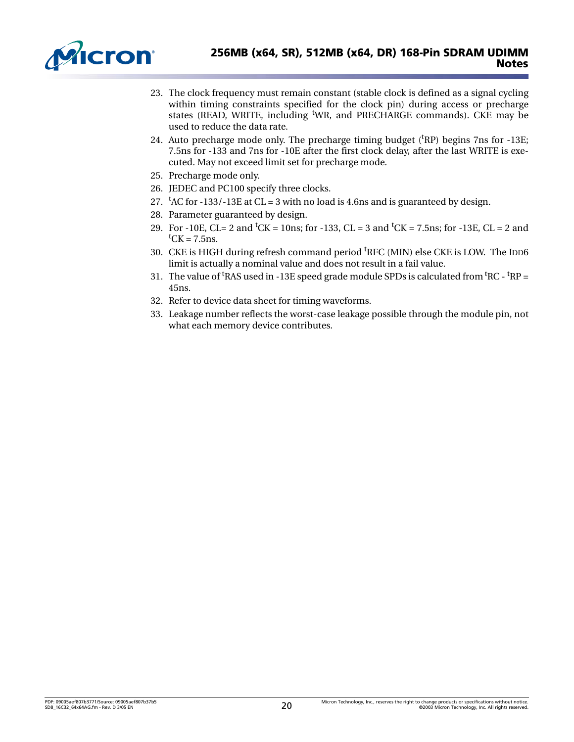

- 23. The clock frequency must remain constant (stable clock is defined as a signal cycling within timing constraints specified for the clock pin) during access or precharge states (READ, WRITE, including <sup>t</sup>WR, and PRECHARGE commands). CKE may be used to reduce the data rate.
- 24. Auto precharge mode only. The precharge timing budget  $({}^{t}RP)$  begins 7ns for -13E; 7.5ns for -133 and 7ns for -10E after the first clock delay, after the last WRITE is executed. May not exceed limit set for precharge mode.
- 25. Precharge mode only.
- 26. JEDEC and PC100 specify three clocks.
- 27.  ${}^{\text{t}}$ AC for -133/-13E at CL = 3 with no load is 4.6ns and is guaranteed by design.
- 28. Parameter guaranteed by design.
- 29. For -10E, CL= 2 and <sup>t</sup>CK = 10ns; for -133, CL = 3 and <sup>t</sup>CK = 7.5ns; for -13E, CL = 2 and  ${}^t$ CK = 7.5ns.
- 30. CKE is HIGH during refresh command period <sup>t</sup>RFC (MIN) else CKE is LOW. The IDD6 limit is actually a nominal value and does not result in a fail value.
- 31. The value of <sup>t</sup>RAS used in -13E speed grade module SPDs is calculated from <sup>t</sup>RC  $\rm ^tRP$  = 45ns.
- 32. Refer to device data sheet for timing waveforms.
- <span id="page-19-0"></span>33. Leakage number reflects the worst-case leakage possible through the module pin, not what each memory device contributes.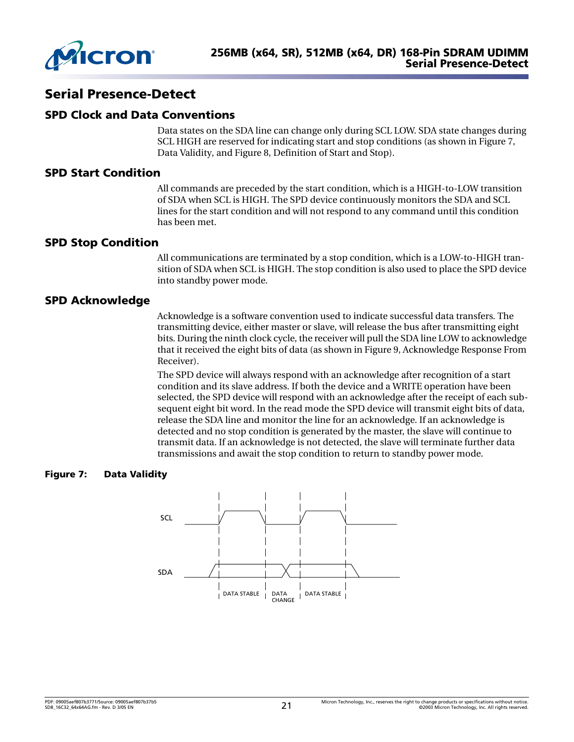

# **Serial Presence-Detect**

### **SPD Clock and Data Conventions**

Data states on the SDA line can change only during SCL LOW. SDA state changes during SCL HIGH are reserved for indicating start and stop conditions (as shown in [Figure 7,](#page-20-0)  [Data Validity,](#page-20-0) and [Figure 8, Definition of Start and Stop](#page-21-0)).

### **SPD Start Condition**

All commands are preceded by the start condition, which is a HIGH-to-LOW transition of SDA when SCL is HIGH. The SPD device continuously monitors the SDA and SCL lines for the start condition and will not respond to any command until this condition has been met.

### **SPD Stop Condition**

All communications are terminated by a stop condition, which is a LOW-to-HIGH transition of SDA when SCL is HIGH. The stop condition is also used to place the SPD device into standby power mode.

# **SPD Acknowledge**

Acknowledge is a software convention used to indicate successful data transfers. The transmitting device, either master or slave, will release the bus after transmitting eight bits. During the ninth clock cycle, the receiver will pull the SDA line LOW to acknowledge that it received the eight bits of data (as shown in [Figure 9, Acknowledge Response From](#page-21-1)  [Receiver](#page-21-1)).

The SPD device will always respond with an acknowledge after recognition of a start condition and its slave address. If both the device and a WRITE operation have been selected, the SPD device will respond with an acknowledge after the receipt of each subsequent eight bit word. In the read mode the SPD device will transmit eight bits of data, release the SDA line and monitor the line for an acknowledge. If an acknowledge is detected and no stop condition is generated by the master, the slave will continue to transmit data. If an acknowledge is not detected, the slave will terminate further data transmissions and await the stop condition to return to standby power mode.

#### <span id="page-20-0"></span>**Figure 7: Data Validity**

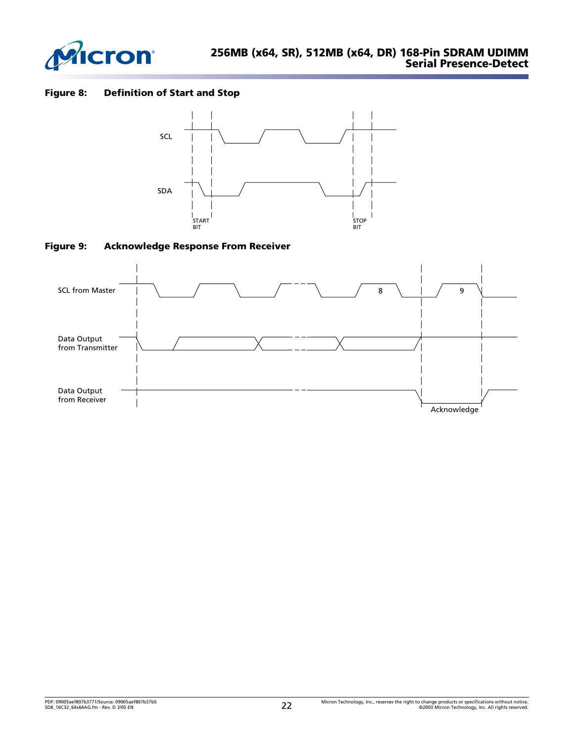

### <span id="page-21-0"></span>**Figure 8: Definition of Start and Stop**



<span id="page-21-1"></span>

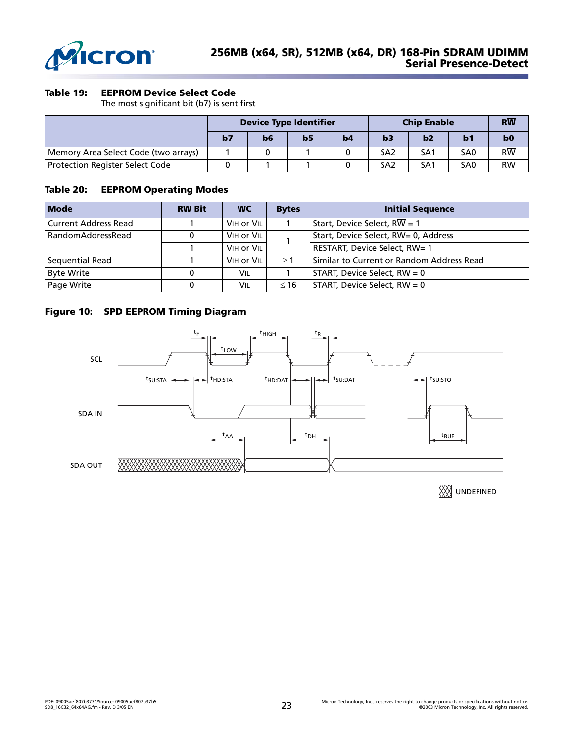

### **Table 19: EEPROM Device Select Code**

The most significant bit (b7) is sent first

|                                        | <b>Device Type Identifier</b> |    |                |    | <b>Chip Enable</b> | $R\overline{W}$ |                 |                 |
|----------------------------------------|-------------------------------|----|----------------|----|--------------------|-----------------|-----------------|-----------------|
|                                        | b7                            | b6 | b <sub>5</sub> | b4 | b3                 | b2              | b <sub>1</sub>  | b <sub>0</sub>  |
| Memory Area Select Code (two arrays)   |                               |    |                |    | SA <sub>2</sub>    | SA <sub>1</sub> | SA <sub>0</sub> | $R\overline{W}$ |
| <b>Protection Register Select Code</b> |                               |    |                |    | SA <sub>2</sub>    | SA <sub>1</sub> | SA <sub>0</sub> | $R\overline{W}$ |

### **Table 20: EEPROM Operating Modes**

| <b>Mode</b>                 | <b>RW Bit</b> | <b>WC</b>  | <b>Bytes</b> | <b>Initial Sequence</b>                            |
|-----------------------------|---------------|------------|--------------|----------------------------------------------------|
| <b>Current Address Read</b> |               | VIH OF VIL |              | Start, Device Select, $R\overline{W} = 1$          |
| RandomAddressRead           | 0             | VIH OF VIL |              | Start, Device Select, $R\overline{W}$ = 0, Address |
|                             |               | VIH OF VIL |              | RESTART, Device Select, RW= 1                      |
| Sequential Read             |               | VIH OF VIL | $\geq$ 1     | Similar to Current or Random Address Read          |
| <b>Byte Write</b>           |               | VIL        |              | START, Device Select, $R\overline{W} = 0$          |
| Page Write                  |               | Vil        | $\leq 16$    | START, Device Select, $R\overline{W} = 0$          |

### **Figure 10: SPD EEPROM Timing Diagram**



**WE UNDEFINED**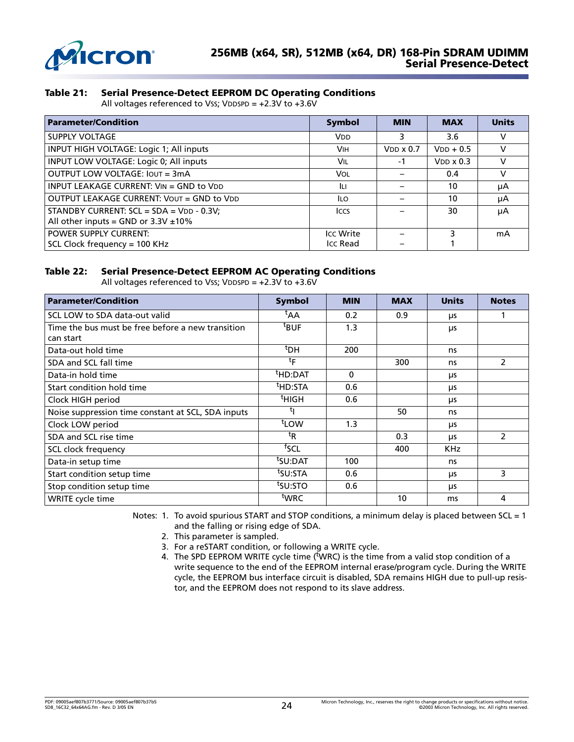

### **Table 21: Serial Presence-Detect EEPROM DC Operating Conditions**

All voltages referenced to Vss; VDDSPD = +2.3V to +3.6V

| <b>Parameter/Condition</b>                                                               | Symbol                | <b>MIN</b>       | <b>MAX</b>       | <b>Units</b> |
|------------------------------------------------------------------------------------------|-----------------------|------------------|------------------|--------------|
| <b>SUPPLY VOLTAGE</b>                                                                    | <b>V<sub>DD</sub></b> | 3                | 3.6              | v            |
| INPUT HIGH VOLTAGE: Logic 1; All inputs                                                  | <b>VIH</b>            | $VDD \times 0.7$ | $VDD + 0.5$      | v            |
| INPUT LOW VOLTAGE: Logic 0; All inputs                                                   | VIL                   | -1               | $VDD \times 0.3$ | v            |
| OUTPUT LOW VOLTAGE: JOUT = 3mA                                                           | VOL                   |                  | 0.4              | v            |
| INPUT LEAKAGE CURRENT: $V_{IN} = GND$ to $V_{DD}$                                        | Iц                    |                  | 10               | μA           |
| OUTPUT LEAKAGE CURRENT: VOUT = GND to VDD                                                | ILO.                  |                  | 10               | μA           |
| STANDBY CURRENT: $SCL = SDA = VDD - 0.3V$ ;<br>All other inputs = GND or $3.3V \pm 10\%$ | <b>ICCS</b>           |                  | 30               | μA           |
| <b>POWER SUPPLY CURRENT:</b>                                                             | <b>Icc Write</b>      |                  |                  | mA           |
| SCL Clock frequency = 100 KHz                                                            | Icc Read              |                  |                  |              |

### **Table 22: Serial Presence-Detect EEPROM AC Operating Conditions**

All voltages referenced to Vss; VDDSPD = +2.3V to +3.6V

| <b>Parameter/Condition</b>                         | <b>Symbol</b>       | <b>MIN</b> | <b>MAX</b> | <b>Units</b> | <b>Notes</b>  |
|----------------------------------------------------|---------------------|------------|------------|--------------|---------------|
| SCL LOW to SDA data-out valid                      | <sup>τ</sup> ΑΑ     | 0.2        | 0.9        | μs           |               |
| Time the bus must be free before a new transition  | <sup>t</sup> BUF    | 1.3        |            | μs           |               |
| can start                                          |                     |            |            |              |               |
| Data-out hold time                                 | <sup>t</sup> DH     | 200        |            | ns           |               |
| SDA and SCL fall time                              | $t_{\mathsf{F}}$    |            | 300        | ns           | 2             |
| Data-in hold time                                  | <sup>t</sup> HD:DAT | $\Omega$   |            | μs           |               |
| Start condition hold time                          | <sup>t</sup> HD:STA | 0.6        |            | μs           |               |
| Clock HIGH period                                  | <sup>t</sup> HIGH   | 0.6        |            | μs           |               |
| Noise suppression time constant at SCL, SDA inputs |                     |            | 50         | ns           |               |
| Clock LOW period                                   | <sup>t</sup> LOW    | 1.3        |            | μs           |               |
| SDA and SCL rise time                              | ${}^{\rm t}$ R      |            | 0.3        | <b>LIS</b>   | $\mathcal{P}$ |
| SCL clock frequency                                | <sup>†</sup> SCL    |            | 400        | <b>KHz</b>   |               |
| Data-in setup time                                 | <sup>t</sup> SU:DAT | 100        |            | ns           |               |
| Start condition setup time                         | <sup>t</sup> SU:STA | 0.6        |            | μs           | 3             |
| Stop condition setup time                          | tsu:sto             | 0.6        |            | μs           |               |
| WRITE cycle time                                   | <sup>t</sup> WRC    |            | 10         | ms           | 4             |

Notes: 1. To avoid spurious START and STOP conditions, a minimum delay is placed between SCL = 1 and the falling or rising edge of SDA.

- 2. This parameter is sampled.
- 3. For a reSTART condition, or following a WRITE cycle.
- 4. The SPD EEPROM WRITE cycle time (<sup>t</sup>WRC) is the time from a valid stop condition of a write sequence to the end of the EEPROM internal erase/program cycle. During the WRITE cycle, the EEPROM bus interface circuit is disabled, SDA remains HIGH due to pull-up resistor, and the EEPROM does not respond to its slave address.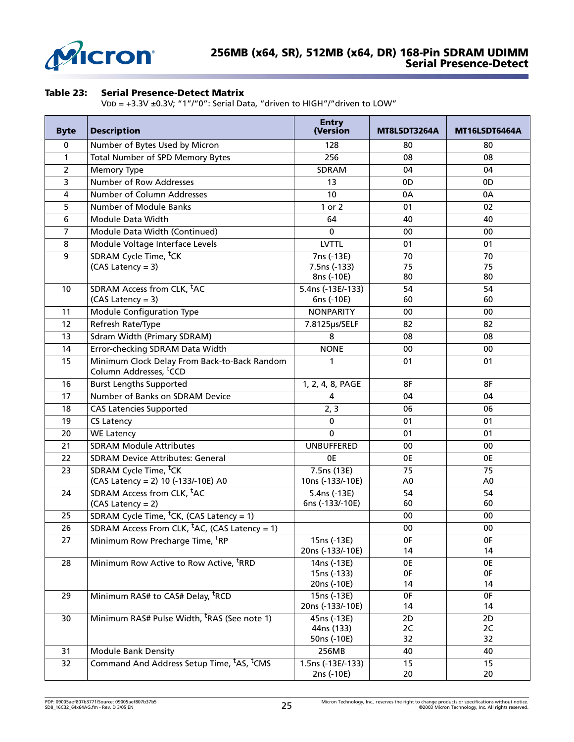

### **Table 23: Serial Presence-Detect Matrix**

VDD = +3.3V ±0.3V; "1"/"0": Serial Data, "driven to HIGH"/"driven to LOW"

| <b>Byte</b>    | <b>Description</b>                                                                 | <b>Entry</b><br>(Version                  | MT8LSDT3264A         | MT16LSDT6464A        |
|----------------|------------------------------------------------------------------------------------|-------------------------------------------|----------------------|----------------------|
| 0              | Number of Bytes Used by Micron                                                     | 128                                       | 80                   | 80                   |
| $\mathbf{1}$   | Total Number of SPD Memory Bytes                                                   | 256                                       | 08                   | 08                   |
| $\overline{2}$ | <b>Memory Type</b>                                                                 | SDRAM                                     | 04                   | 04                   |
| 3              | <b>Number of Row Addresses</b>                                                     | 13                                        | 0D                   | 0D                   |
| 4              | Number of Column Addresses                                                         | 10                                        | 0A                   | 0A                   |
| 5              | <b>Number of Module Banks</b>                                                      | 1 or 2                                    | 01                   | 02                   |
| 6              | Module Data Width                                                                  | 64                                        | 40                   | 40                   |
| $\overline{7}$ | Module Data Width (Continued)                                                      | 0                                         | 00                   | 00                   |
| 8              | Module Voltage Interface Levels                                                    | <b>LVTTL</b>                              | 01                   | 01                   |
| 9              | SDRAM Cycle Time, <sup>t</sup> CK<br>(CAS Latency = 3)                             | 7ns (-13E)<br>7.5ns (-133)<br>8ns (-10E)  | 70<br>75<br>80       | 70<br>75<br>80       |
| 10             | SDRAM Access from CLK, <sup>t</sup> AC                                             | 5.4ns (-13E/-133)                         | 54                   | 54                   |
|                | (CAS Latency = 3)                                                                  | 6ns (-10E)                                | 60                   | 60                   |
| 11             | <b>Module Configuration Type</b>                                                   | <b>NONPARITY</b>                          | 00                   | 00                   |
| 12             | Refresh Rate/Type                                                                  | 7.8125µs/SELF                             | 82                   | 82                   |
| 13             | <b>Sdram Width (Primary SDRAM)</b>                                                 | 8                                         | 08                   | 08                   |
| 14             | Error-checking SDRAM Data Width                                                    | <b>NONE</b>                               | 00                   | 00                   |
| 15             | Minimum Clock Delay From Back-to-Back Random<br>Column Addresses, <sup>t</sup> CCD | 1                                         | 01                   | 01                   |
| 16             | <b>Burst Lengths Supported</b>                                                     | 1, 2, 4, 8, PAGE                          | 8F                   | 8F                   |
| 17             | Number of Banks on SDRAM Device                                                    | 4                                         | 04                   | 04                   |
| 18             | <b>CAS Latencies Supported</b>                                                     | 2, 3                                      | 06                   | 06                   |
| 19             | <b>CS Latency</b>                                                                  | 0                                         | 01                   | 01                   |
| 20             | <b>WE Latency</b>                                                                  | 0                                         | 01                   | 01                   |
| 21             | <b>SDRAM Module Attributes</b>                                                     | <b>UNBUFFERED</b>                         | 00                   | 00                   |
| 22             | <b>SDRAM Device Attributes: General</b>                                            | 0E                                        | 0E                   | 0E                   |
| 23             | SDRAM Cycle Time, <sup>t</sup> CK<br>(CAS Latency = 2) 10 (-133/-10E) A0           | 7.5ns (13E)<br>10ns (-133/-10E)           | 75<br>A <sub>0</sub> | 75<br>A <sub>0</sub> |
| 24             | SDRAM Access from CLK, <sup>t</sup> AC                                             | 5.4ns (-13E)                              | 54                   | 54                   |
|                | (CAS Latency = 2)                                                                  | 6ns (-133/-10E)                           | 60                   | 60                   |
| 25             | SDRAM Cycle Time, <sup>t</sup> CK, (CAS Latency = 1)                               |                                           | 00                   | 00                   |
| 26             | SDRAM Access From CLK, $tAC$ , (CAS Latency = 1)                                   |                                           | 00                   | 00                   |
| 27             | Minimum Row Precharge Time, <sup>t</sup> RP                                        | $15ns (-13E)$<br>20ns (-133/-10E)         | 0F<br>14             | 0F<br>14             |
| 28             | Minimum Row Active to Row Active, <sup>t</sup> RRD                                 | 14ns (-13E)<br>15ns (-133)<br>20ns (-10E) | 0E<br>0F<br>14       | 0E<br>0F<br>14       |
| 29             | Minimum RAS# to CAS# Delay, <sup>t</sup> RCD                                       | 15ns (-13E)                               | 0F                   | 0F                   |
|                |                                                                                    | 20ns (-133/-10E)                          | 14                   | 14                   |
| 30             | Minimum RAS# Pulse Width, <sup>t</sup> RAS (See note 1)                            | 45ns (-13E)<br>44ns (133)<br>50ns (-10E)  | 2D<br>2C<br>32       | 2D<br>2C<br>32       |
| 31             | <b>Module Bank Density</b>                                                         | 256MB                                     | 40                   | 40                   |
| 32             | Command And Address Setup Time, <sup>t</sup> AS, <sup>t</sup> CMS                  | 1.5ns (-13E/-133)<br>2ns (-10E)           | 15<br>20             | 15<br>20             |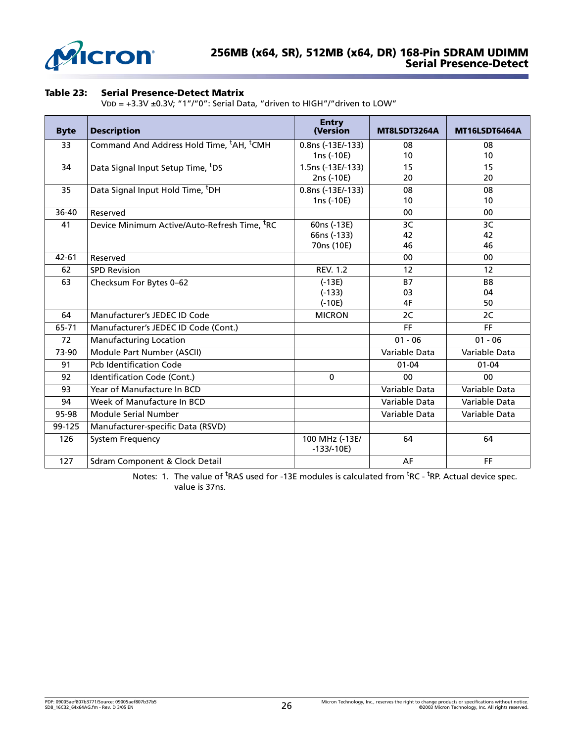

### **Table 23: Serial Presence-Detect Matrix**

VDD = +3.3V ±0.3V; "1"/"0": Serial Data, "driven to HIGH"/"driven to LOW"

| <b>Byte</b> | <b>Description</b>                                               | <b>Entry</b><br>(Version      | MT8LSDT3264A  | MT16LSDT6464A  |
|-------------|------------------------------------------------------------------|-------------------------------|---------------|----------------|
| 33          | Command And Address Hold Time, <sup>t</sup> AH, <sup>t</sup> CMH | 0.8ns (-13E/-133)             | 08            | 08             |
|             |                                                                  | 1ns (-10E)                    | 10            | 10             |
| 34          | Data Signal Input Setup Time, <sup>t</sup> DS                    | 1.5ns (-13E/-133)             | 15            | 15             |
|             |                                                                  | 2ns (-10E)                    | 20            | 20             |
| 35          | Data Signal Input Hold Time, <sup>t</sup> DH                     | 0.8ns (-13E/-133)             | 08            | 08             |
|             |                                                                  | 1ns (-10E)                    | 10            | 10             |
| 36-40       | Reserved                                                         |                               | 00            | 00             |
| 41          | Device Minimum Active/Auto-Refresh Time, <sup>t</sup> RC         | 60ns (-13E)                   | 3C            | 3C             |
|             |                                                                  | 66ns (-133)                   | 42            | 42             |
|             |                                                                  | 70ns (10E)                    | 46            | 46             |
| $42 - 61$   | Reserved                                                         |                               | 00            | 00             |
| 62          | <b>SPD Revision</b>                                              | <b>REV. 1.2</b>               | 12            | 12             |
| 63          | Checksum For Bytes 0-62                                          | $(-13E)$                      | <b>B7</b>     | B <sub>8</sub> |
|             |                                                                  | $(-133)$                      | 03            | 04             |
|             |                                                                  | $(-10E)$                      | 4F            | 50             |
| 64          | Manufacturer's JEDEC ID Code                                     | <b>MICRON</b>                 | 2C            | 2C             |
| 65-71       | Manufacturer's JEDEC ID Code (Cont.)                             |                               | FF            | FF             |
| 72          | Manufacturing Location                                           |                               | $01 - 06$     | $01 - 06$      |
| 73-90       | Module Part Number (ASCII)                                       |                               | Variable Data | Variable Data  |
| 91          | <b>Pcb Identification Code</b>                                   |                               | $01 - 04$     | $01 - 04$      |
| 92          | Identification Code (Cont.)                                      | $\mathbf 0$                   | 00            | 00             |
| 93          | Year of Manufacture In BCD                                       |                               | Variable Data | Variable Data  |
| 94          | Week of Manufacture In BCD                                       |                               | Variable Data | Variable Data  |
| 95-98       | Module Serial Number                                             |                               | Variable Data | Variable Data  |
| 99-125      | Manufacturer-specific Data (RSVD)                                |                               |               |                |
| 126         | <b>System Frequency</b>                                          | 100 MHz (-13E/<br>$-133/-10E$ | 64            | 64             |
| 127         | Sdram Component & Clock Detail                                   |                               | AF            | FF             |

Notes: 1. The value of <sup>t</sup>RAS used for -13E modules is calculated from <sup>t</sup>RC - <sup>t</sup>RP. Actual device spec. value is 37ns.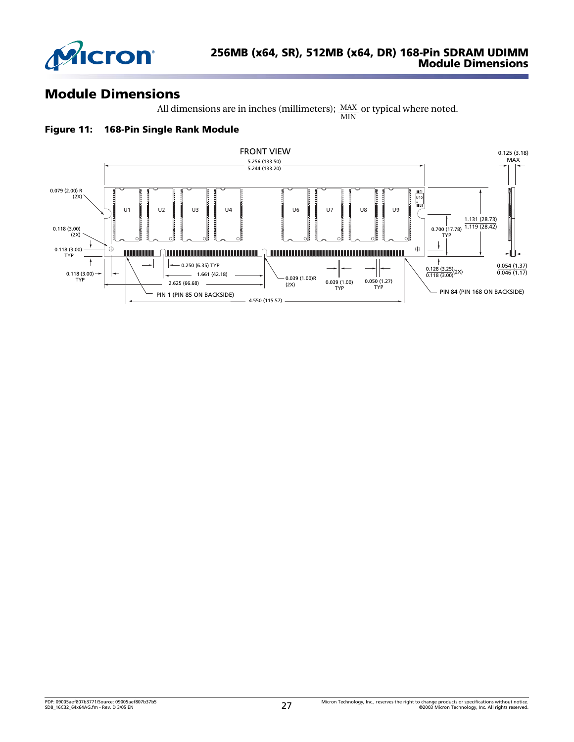

# **Module Dimensions**

All dimensions are in inches (millimeters);  $\frac{MAX}{1}$  or typical where noted. MIN